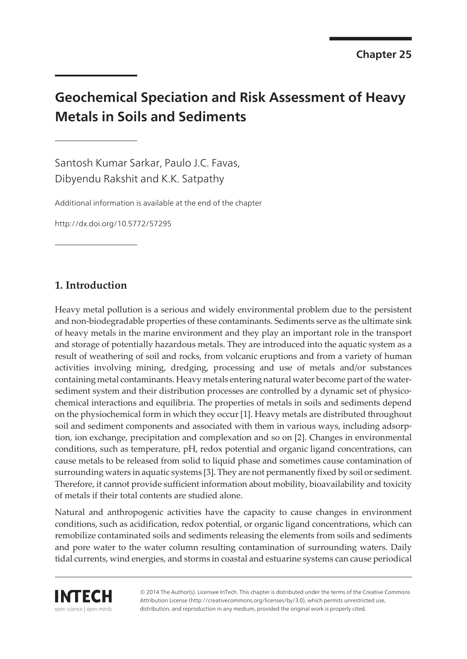# **Geochemical Speciation and Risk Assessment of Heavy Metals in Soils and Sediments**

Santosh Kumar Sarkar, Paulo J.C. Favas, Dibyendu Rakshit and K.K. Satpathy

Additional information is available at the end of the chapter

http://dx.doi.org/10.5772/57295

### **1. Introduction**

Heavy metal pollution is a serious and widely environmental problem due to the persistent and non-biodegradable properties of these contaminants. Sediments serve as the ultimate sink of heavy metals in the marine environment and they play an important role in the transport and storage of potentially hazardous metals. They are introduced into the aquatic system as a result of weathering of soil and rocks, from volcanic eruptions and from a variety of human activities involving mining, dredging, processing and use of metals and/or substances containing metal contaminants. Heavy metals entering natural water become part of the watersediment system and their distribution processes are controlled by a dynamic set of physicochemical interactions and equilibria. The properties of metals in soils and sediments depend on the physiochemical form in which they occur [\[1\]](#page-24-0). Heavy metals are distributed throughout soil and sediment components and associated with them in various ways, including adsorption, ion exchange, precipitation and complexation and so on [\[2\]](#page-24-0). Changes in environmental conditions, such as temperature, pH, redox potential and organic ligand concentrations, can cause metals to be released from solid to liquid phase and sometimes cause contamination of surrounding waters in aquatic systems [\[3\]](#page-24-0). They are not permanently fixed by soil or sediment. Therefore, it cannot provide sufficient information about mobility, bioavailability and toxicity of metals if their total contents are studied alone.

Natural and anthropogenic activities have the capacity to cause changes in environment conditions, such as acidification, redox potential, or organic ligand concentrations, which can remobilize contaminated soils and sediments releasing the elements from soils and sediments and pore water to the water column resulting contamination of surrounding waters. Daily tidal currents, wind energies, and storms in coastal and estuarine systems can cause periodical



© 2014 The Author(s). Licensee InTech. This chapter is distributed under the terms of the Creative Commons Attribution License (http://creativecommons.org/licenses/by/3.0), which permits unrestricted use, distribution, and reproduction in any medium, provided the original work is properly cited.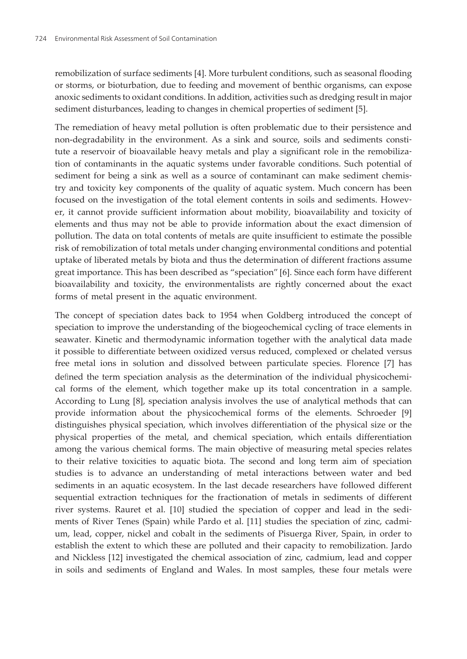remobilization of surface sediments [\[4\]](#page-24-0). More turbulent conditions, such as seasonal flooding or storms, or bioturbation, due to feeding and movement of benthic organisms, can expose anoxic sediments to oxidant conditions. In addition, activities such as dredging result in major sediment disturbances, leading to changes in chemical properties of sediment [\[5\]](#page-24-0).

The remediation of heavy metal pollution is often problematic due to their persistence and non-degradability in the environment. As a sink and source, soils and sediments constitute a reservoir of bioavailable heavy metals and play a significant role in the remobilization of contaminants in the aquatic systems under favorable conditions. Such potential of sediment for being a sink as well as a source of contaminant can make sediment chemistry and toxicity key components of the quality of aquatic system. Much concern has been focused on the investigation of the total element contents in soils and sediments. However, it cannot provide sufficient information about mobility, bioavailability and toxicity of elements and thus may not be able to provide information about the exact dimension of pollution. The data on total contents of metals are quite insufficient to estimate the possible risk of remobilization of total metals under changing environmental conditions and potential uptake of liberated metals by biota and thus the determination of different fractions assume great importance. This has been described as "speciation" [[6](#page-24-0)]. Since each form have different bioavailability and toxicity, the environmentalists are rightly concerned about the exact forms of metal present in the aquatic environment.

The concept of speciation dates back to 1954 when Goldberg introduced the concept of speciation to improve the understanding of the biogeochemical cycling of trace elements in seawater. Kinetic and thermodynamic information together with the analytical data made it possible to differentiate between oxidized versus reduced, complexed or chelated versus free metal ions in solution and dissolved between particulate species. Florence [\[7\]](#page-24-0) has defined the term speciation analysis as the determination of the individual physicochemical forms of the element, which together make up its total concentration in a sample. According to Lung [\[8\]](#page-25-0), speciation analysis involves the use of analytical methods that can provide information about the physicochemical forms of the elements. Schroeder [[9](#page-25-0)] distinguishes physical speciation, which involves differentiation of the physical size or the physical properties of the metal, and chemical speciation, which entails differentiation among the various chemical forms. The main objective of measuring metal species relates to their relative toxicities to aquatic biota. The second and long term aim of speciation studies is to advance an understanding of metal interactions between water and bed sediments in an aquatic ecosystem. In the last decade researchers have followed different sequential extraction techniques for the fractionation of metals in sediments of different river systems. Rauret et al. [\[10](#page-25-0)] studied the speciation of copper and lead in the sedi‐ ments of River Tenes (Spain) while Pardo et al. [[11\]](#page-25-0) studies the speciation of zinc, cadmium, lead, copper, nickel and cobalt in the sediments of Pisuerga River, Spain, in order to establish the extent to which these are polluted and their capacity to remobilization. Jardo and Nickless [[12\]](#page-25-0) investigated the chemical association of zinc, cadmium, lead and copper in soils and sediments of England and Wales. In most samples, these four metals were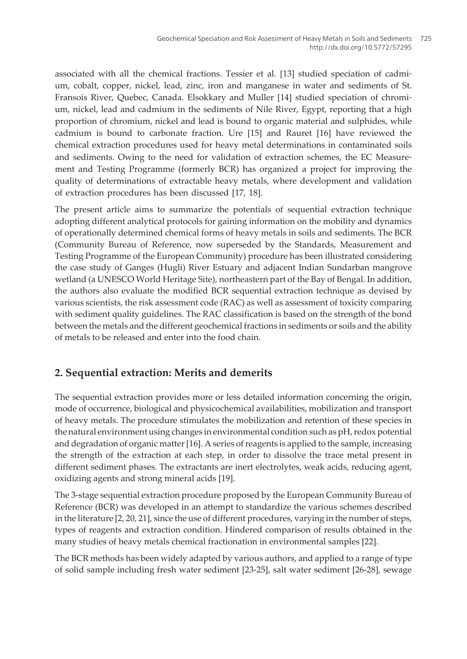associated with all the chemical fractions. Tessier et al. [\[13](#page-25-0)] studied speciation of cadmium, cobalt, copper, nickel, lead, zinc, iron and manganese in water and sediments of St. Fransois River, Quebec, Canada. Elsokkary and Muller [\[14](#page-25-0)] studied speciation of chromium, nickel, lead and cadmium in the sediments of Nile River, Egypt, reporting that a high proportion of chromium, nickel and lead is bound to organic material and sulphides, while cadmium is bound to carbonate fraction. Ure [\[15](#page-25-0)] and Rauret[[16\]](#page-25-0) have reviewed the chemical extraction procedures used for heavy metal determinations in contaminated soils and sediments. Owing to the need for validation of extraction schemes, the EC Measurement and Testing Programme (formerly BCR) has organized a project for improving the quality of determinations of extractable heavy metals, where development and validation of extraction procedures has been discussed [[17,](#page-25-0) [18](#page-25-0)].

The present article aims to summarize the potentials of sequential extraction technique adopting different analytical protocols for gaining information on the mobility and dynamics of operationally determined chemical forms of heavy metals in soils and sediments. The BCR (Community Bureau of Reference, now superseded by the Standards, Measurement and Testing Programme of the European Community) procedure has been illustrated considering the case study of Ganges (Hugli) River Estuary and adjacent Indian Sundarban mangrove wetland (a UNESCO World Heritage Site), northeastern part of the Bay of Bengal. In addition, the authors also evaluate the modified BCR sequential extraction technique as devised by various scientists, the risk assessment code (RAC) as well as assessment of toxicity comparing with sediment quality guidelines. The RAC classification is based on the strength of the bond between the metals and the different geochemical fractions in sediments or soils and the ability of metals to be released and enter into the food chain.

# **2. Sequential extraction: Merits and demerits**

The sequential extraction provides more or less detailed information concerning the origin, mode of occurrence, biological and physicochemical availabilities, mobilization and transport of heavy metals. The procedure stimulates the mobilization and retention of these species in the natural environment using changes in environmental condition such as pH, redox potential and degradation of organic matter [\[16](#page-25-0)]. A series of reagents is applied to the sample, increasing the strength of the extraction at each step, in order to dissolve the trace metal present in different sediment phases. The extractants are inert electrolytes, weak acids, reducing agent, oxidizing agents and strong mineral acids [[19\]](#page-25-0).

The 3-stage sequential extraction procedure proposed by the European Community Bureau of Reference (BCR) was developed in an attempt to standardize the various schemes described in the literature [[2](#page-24-0), [20](#page-25-0), [21\]](#page-25-0), since the use of different procedures, varying in the number of steps, types of reagents and extraction condition. Hindered comparison of results obtained in the many studies of heavy metals chemical fractionation in environmental samples [\[22](#page-26-0)].

The BCR methods has been widely adapted by various authors, and applied to a range of type of solid sample including fresh water sediment [[23-25\]](#page-26-0), salt water sediment [[26-28\]](#page-26-0), sewage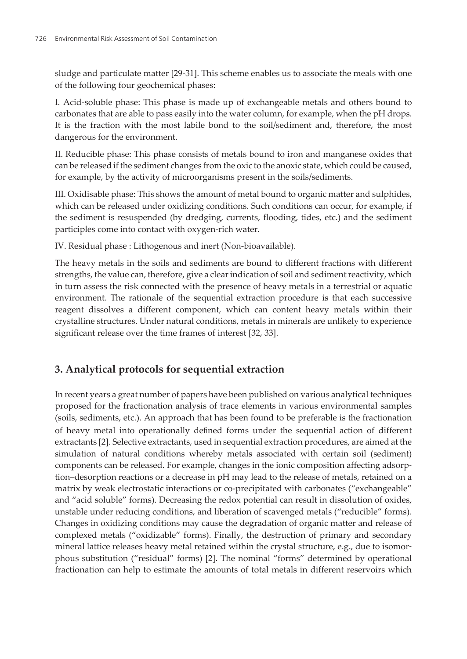sludge and particulate matter [\[29-31](#page-26-0)]. This scheme enables us to associate the meals with one of the following four geochemical phases:

I. Acid-soluble phase: This phase is made up of exchangeable metals and others bound to carbonates that are able to pass easily into the water column, for example, when the pH drops. It is the fraction with the most labile bond to the soil/sediment and, therefore, the most dangerous for the environment.

II. Reducible phase: This phase consists of metals bound to iron and manganese oxides that can be released if the sediment changes from the oxic to the anoxic state, which could be caused, for example, by the activity of microorganisms present in the soils/sediments.

III. Oxidisable phase: This shows the amount of metal bound to organic matter and sulphides, which can be released under oxidizing conditions. Such conditions can occur, for example, if the sediment is resuspended (by dredging, currents, flooding, tides, etc.) and the sediment participles come into contact with oxygen-rich water.

IV. Residual phase : Lithogenous and inert (Non-bioavailable).

The heavy metals in the soils and sediments are bound to different fractions with different strengths, the value can, therefore, give a clear indication of soil and sediment reactivity, which in turn assess the risk connected with the presence of heavy metals in a terrestrial or aquatic environment. The rationale of the sequential extraction procedure is that each successive reagent dissolves a different component, which can content heavy metals within their crystalline structures. Under natural conditions, metals in minerals are unlikely to experience significant release over the time frames of interest [[32, 33](#page-26-0)].

### **3. Analytical protocols for sequential extraction**

In recent years a great number of papers have been published on various analytical techniques proposed for the fractionation analysis of trace elements in various environmental samples (soils, sediments, etc.). An approach that has been found to be preferable is the fractionation of heavy metal into operationally defined forms under the sequential action of different extractants [[2](#page-24-0)]. Selective extractants, used in sequential extraction procedures, are aimed at the simulation of natural conditions whereby metals associated with certain soil (sediment) components can be released. For example, changes in the ionic composition affecting adsorption–desorption reactions or a decrease in pH may lead to the release of metals, retained on a matrix by weak electrostatic interactions or co-precipitated with carbonates ("exchangeable" and "acid soluble" forms). Decreasing the redox potential can result in dissolution of oxides, unstable under reducing conditions, and liberation of scavenged metals ("reducible" forms). Changes in oxidizing conditions may cause the degradation of organic matter and release of complexed metals ("oxidizable" forms). Finally, the destruction of primary and secondary mineral lattice releases heavy metal retained within the crystal structure, e.g., due to isomorphous substitution ("residual" forms) [[2](#page-24-0)]. The nominal "forms" determined by operational fractionation can help to estimate the amounts of total metals in different reservoirs which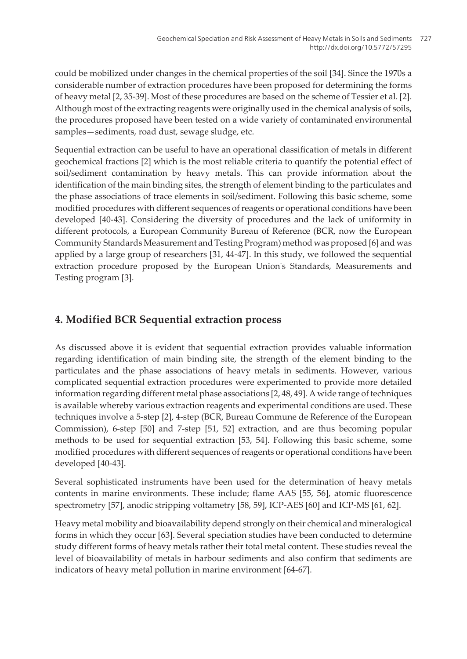could be mobilized under changes in the chemical properties of the soil [\[34](#page-26-0)]. Since the 1970s a considerable number of extraction procedures have been proposed for determining the forms of heavy metal [\[2,](#page-24-0) [35-39\]](#page-27-0). Most of these procedures are based on the scheme of Tessier et al. [\[2\]](#page-24-0). Although most of the extracting reagents were originally used in the chemical analysis of soils, the procedures proposed have been tested on a wide variety of contaminated environmental samples—sediments, road dust, sewage sludge, etc.

Sequential extraction can be useful to have an operational classification of metals in different geochemical fractions [[2](#page-24-0)] which is the most reliable criteria to quantify the potential effect of soil/sediment contamination by heavy metals. This can provide information about the identification of the main binding sites, the strength of element binding to the particulates and the phase associations of trace elements in soil/sediment. Following this basic scheme, some modified procedures with different sequences of reagents or operational conditions have been developed [\[40-43](#page-27-0)]. Considering the diversity of procedures and the lack of uniformity in different protocols, a European Community Bureau of Reference (BCR, now the European Community Standards Measurement and Testing Program) method was proposed [[6](#page-24-0)] and was applied by a large group of researchers [\[31](#page-26-0), [44](#page-27-0)[-47](#page-28-0)]. In this study, we followed the sequential extraction procedure proposed by the European Union's Standards, Measurements and Testing program [[3](#page-24-0)].

## **4. Modified BCR Sequential extraction process**

As discussed above it is evident that sequential extraction provides valuable information regarding identification of main binding site, the strength of the element binding to the particulates and the phase associations of heavy metals in sediments. However, various complicated sequential extraction procedures were experimented to provide more detailed information regarding different metal phase associations [[2](#page-24-0), [48, 49](#page-28-0)]. A wide range of techniques is available whereby various extraction reagents and experimental conditions are used. These techniques involve a 5-step [[2](#page-24-0)], 4-step (BCR, Bureau Commune de Reference of the European Commission), 6-step [[50\]](#page-28-0) and 7-step [[51,](#page-28-0) [52](#page-28-0)] extraction, and are thus becoming popular methods to be used for sequential extraction [\[53](#page-28-0), [54](#page-28-0)]. Following this basic scheme, some modified procedures with different sequences of reagents or operational conditions have been developed [[40-43\]](#page-27-0).

Several sophisticated instruments have been used for the determination of heavy metals contents in marine environments. These include; flame AAS [\[55](#page-28-0), [56](#page-28-0)], atomic fluorescence spectrometry [[57\]](#page-28-0), anodic stripping voltametry [\[58](#page-28-0), [59\]](#page-28-0), ICP-AES [\[60](#page-29-0)] and ICP-MS [\[61](#page-29-0), [62\]](#page-29-0).

Heavy metal mobility and bioavailability depend strongly on their chemical and mineralogical forms in which they occur [[63](#page-29-0)]. Several speciation studies have been conducted to determine study different forms of heavy metals rather their total metal content. These studies reveal the level of bioavailability of metals in harbour sediments and also confirm that sediments are indicators of heavy metal pollution in marine environment [[64-67\]](#page-29-0).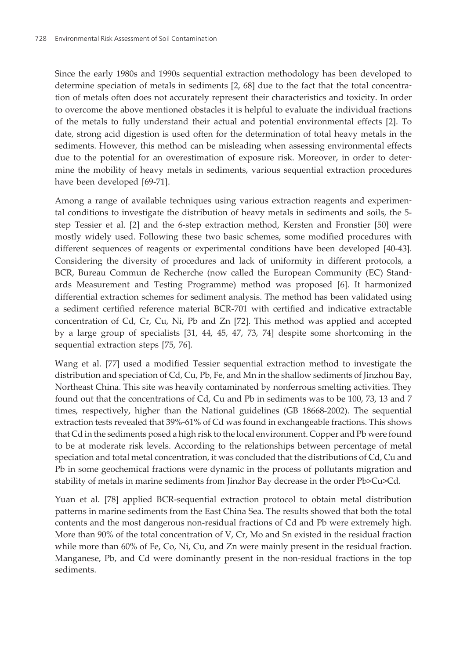Since the early 1980s and 1990s sequential extraction methodology has been developed to determine speciation of metals in sediments [\[2,](#page-24-0) [68](#page-29-0)] due to the fact that the total concentration of metals often does not accurately represent their characteristics and toxicity. In order to overcome the above mentioned obstacles it is helpful to evaluate the individual fractions of the metals to fully understand their actual and potential environmental effects [\[2\]](#page-24-0). To date, strong acid digestion is used often for the determination of total heavy metals in the sediments. However, this method can be misleading when assessing environmental effects due to the potential for an overestimation of exposure risk. Moreover, in order to deter‐ mine the mobility of heavy metals in sediments, various sequential extraction procedures have been developed [\[69-71](#page-29-0)].

Among a range of available techniques using various extraction reagents and experimental conditions to investigate the distribution of heavy metals in sediments and soils, the 5 step Tessier et al. [[2](#page-24-0)] and the 6-step extraction method, Kersten and Fronstier [[50\]](#page-28-0) were mostly widely used. Following these two basic schemes, some modified procedures with different sequences of reagents or experimental conditions have been developed [[40-43\]](#page-27-0). Considering the diversity of procedures and lack of uniformity in different protocols, a BCR, Bureau Commun de Recherche (now called the European Community (EC) Stand‐ ards Measurement and Testing Programme) method was proposed [\[6\]](#page-24-0). It harmonized differential extraction schemes for sediment analysis. The method has been validated using a sediment certified reference material BCR-701 with certified and indicative extractable concentration of Cd, Cr, Cu, Ni, Pb and Zn [[72\]](#page-29-0). This method was applied and accepted by a large group of specialists [[31,](#page-26-0) [44,](#page-27-0) [45](#page-27-0), [47,](#page-28-0) [73](#page-30-0), [74](#page-30-0)] despite some shortcoming in the sequential extraction steps [\[75](#page-30-0), [76\]](#page-30-0).

Wang et al. [[77\]](#page-30-0) used a modified Tessier sequential extraction method to investigate the distribution and speciation of Cd, Cu, Pb, Fe, and Mn in the shallow sediments of Jinzhou Bay, Northeast China. This site was heavily contaminated by nonferrous smelting activities. They found out that the concentrations of Cd, Cu and Pb in sediments was to be 100, 73, 13 and 7 times, respectively, higher than the National guidelines (GB 18668-2002). The sequential extraction tests revealed that 39%-61% of Cd was found in exchangeable fractions. This shows that Cd in the sediments posed a high risk to the local environment. Copper and Pb were found to be at moderate risk levels. According to the relationships between percentage of metal speciation and total metal concentration, it was concluded that the distributions of Cd, Cu and Pb in some geochemical fractions were dynamic in the process of pollutants migration and stability of metals in marine sediments from Jinzhor Bay decrease in the order Pb>Cu>Cd.

Yuan et al. [[78\]](#page-30-0) applied BCR-sequential extraction protocol to obtain metal distribution patterns in marine sediments from the East China Sea. The results showed that both the total contents and the most dangerous non-residual fractions of Cd and Pb were extremely high. More than 90% of the total concentration of V, Cr, Mo and Sn existed in the residual fraction while more than 60% of Fe, Co, Ni, Cu, and Zn were mainly present in the residual fraction. Manganese, Pb, and Cd were dominantly present in the non-residual fractions in the top sediments.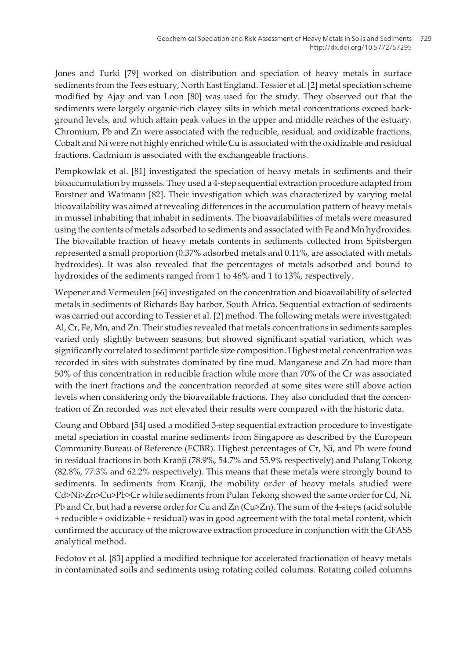Jones and Turki [\[79](#page-30-0)] worked on distribution and speciation of heavy metals in surface sediments from the Tees estuary, North East England. Tessier et al. [[2](#page-24-0)] metal speciation scheme modified by Ajay and van Loon [\[80](#page-30-0)] was used for the study. They observed out that the sediments were largely organic-rich clayey silts in which metal concentrations exceed background levels, and which attain peak values in the upper and middle reaches of the estuary. Chromium, Pb and Zn were associated with the reducible, residual, and oxidizable fractions. Cobalt and Ni were not highly enriched while Cu is associated with the oxidizable and residual fractions. Cadmium is associated with the exchangeable fractions.

Pempkowlak et al. [[81\]](#page-30-0) investigated the speciation of heavy metals in sediments and their bioaccumulation by mussels. They used a 4-step sequential extraction procedure adapted from Forstner and Watmann [[82\]](#page-30-0). Their investigation which was characterized by varying metal bioavailability was aimed at revealing differences in the accumulation pattern of heavy metals in mussel inhabiting that inhabit in sediments. The bioavailabilities of metals were measured using the contents of metals adsorbed to sediments and associated with Fe and Mn hydroxides. The biovailable fraction of heavy metals contents in sediments collected from Spitsbergen represented a small proportion (0.37% adsorbed metals and 0.11%, are associated with metals hydroxides). It was also revealed that the percentages of metals adsorbed and bound to hydroxides of the sediments ranged from 1 to 46% and 1 to 13%, respectively.

Wepener and Vermeulen [[66\]](#page-29-0) investigated on the concentration and bioavailability of selected metals in sediments of Richards Bay harbor, South Africa. Sequential extraction of sediments was carried out according to Tessier et al. [\[2\]](#page-24-0) method. The following metals were investigated: Al, Cr, Fe, Mn, and Zn. Their studies revealed that metals concentrations in sediments samples varied only slightly between seasons, but showed significant spatial variation, which was significantly correlated to sediment particle size composition. Highest metal concentration was recorded in sites with substrates dominated by fine mud. Manganese and Zn had more than 50% of this concentration in reducible fraction while more than 70% of the Cr was associated with the inert fractions and the concentration recorded at some sites were still above action levels when considering only the bioavailable fractions. They also concluded that the concentration of Zn recorded was not elevated their results were compared with the historic data.

Coung and Obbard [[54\]](#page-28-0) used a modified 3-step sequential extraction procedure to investigate metal speciation in coastal marine sediments from Singapore as described by the European Community Bureau of Reference (ECBR). Highest percentages of Cr, Ni, and Pb were found in residual fractions in both Kranji (78.9%, 54.7% and 55.9% respectively) and Pulang Tokong (82.8%, 77.3% and 62.2% respectively). This means that these metals were strongly bound to sediments. In sediments from Kranji, the mobility order of heavy metals studied were Cd>Ni>Zn>Cu>Pb>Cr while sediments from Pulan Tekong showed the same order for Cd, Ni, Pb and Cr, but had a reverse order for Cu and Zn (Cu>Zn). The sum of the 4-steps (acid soluble + reducible + oxidizable + residual) was in good agreement with the total metal content, which confirmed the accuracy of the microwave extraction procedure in conjunction with the GFASS analytical method.

Fedotov et al. [[83\]](#page-30-0) applied a modified technique for accelerated fractionation of heavy metals in contaminated soils and sediments using rotating coiled columns. Rotating coiled columns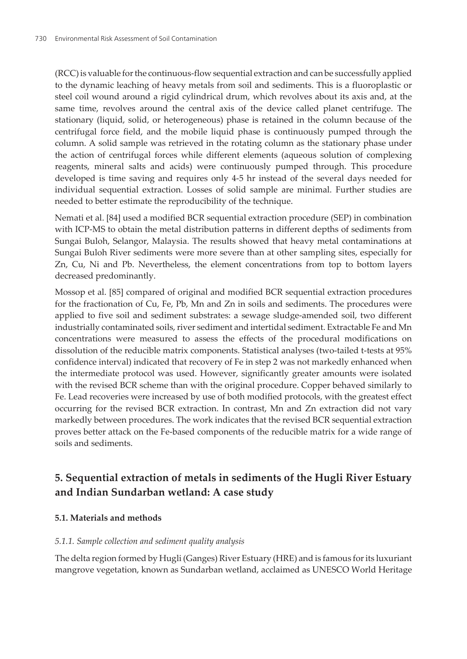(RCC) is valuable for the continuous-flow sequential extraction and can be successfully applied to the dynamic leaching of heavy metals from soil and sediments. This is a fluoroplastic or steel coil wound around a rigid cylindrical drum, which revolves about its axis and, at the same time, revolves around the central axis of the device called planet centrifuge. The stationary (liquid, solid, or heterogeneous) phase is retained in the column because of the centrifugal force field, and the mobile liquid phase is continuously pumped through the column. A solid sample was retrieved in the rotating column as the stationary phase under the action of centrifugal forces while different elements (aqueous solution of complexing reagents, mineral salts and acids) were continuously pumped through. This procedure developed is time saving and requires only 4-5 hr instead of the several days needed for individual sequential extraction. Losses of solid sample are minimal. Further studies are needed to better estimate the reproducibility of the technique.

Nemati et al. [[84\]](#page-30-0) used a modified BCR sequential extraction procedure (SEP) in combination with ICP-MS to obtain the metal distribution patterns in different depths of sediments from Sungai Buloh, Selangor, Malaysia. The results showed that heavy metal contaminations at Sungai Buloh River sediments were more severe than at other sampling sites, especially for Zn, Cu, Ni and Pb. Nevertheless, the element concentrations from top to bottom layers decreased predominantly.

Mossop et al. [[85\]](#page-31-0) compared of original and modified BCR sequential extraction procedures for the fractionation of Cu, Fe, Pb, Mn and Zn in soils and sediments. The procedures were applied to five soil and sediment substrates: a sewage sludge-amended soil, two different industrially contaminated soils, river sediment and intertidal sediment. Extractable Fe and Mn concentrations were measured to assess the effects of the procedural modifications on dissolution of the reducible matrix components. Statistical analyses (two-tailed t-tests at 95% confidence interval) indicated that recovery of Fe in step 2 was not markedly enhanced when the intermediate protocol was used. However, significantly greater amounts were isolated with the revised BCR scheme than with the original procedure. Copper behaved similarly to Fe. Lead recoveries were increased by use of both modified protocols, with the greatest effect occurring for the revised BCR extraction. In contrast, Mn and Zn extraction did not vary markedly between procedures. The work indicates that the revised BCR sequential extraction proves better attack on the Fe-based components of the reducible matrix for a wide range of soils and sediments.

# **5. Sequential extraction of metals in sediments of the Hugli River Estuary and Indian Sundarban wetland: A case study**

### **5.1. Materials and methods**

### *5.1.1. Sample collection and sediment quality analysis*

The delta region formed by Hugli (Ganges) River Estuary (HRE) and is famous for its luxuriant mangrove vegetation, known as Sundarban wetland, acclaimed as UNESCO World Heritage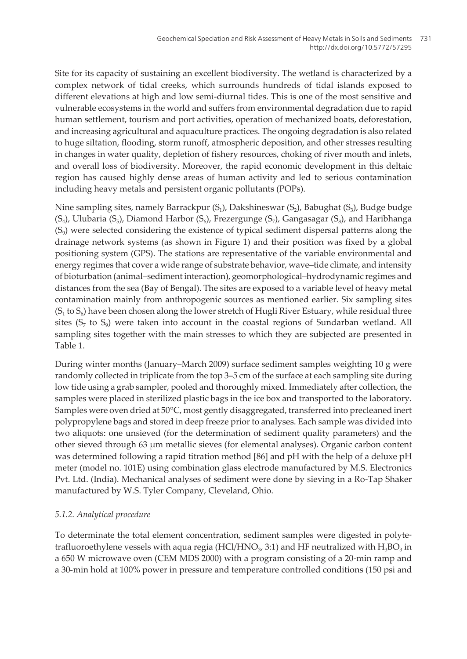Site for its capacity of sustaining an excellent biodiversity. The wetland is characterized by a complex network of tidal creeks, which surrounds hundreds of tidal islands exposed to different elevations at high and low semi-diurnal tides. This is one of the most sensitive and vulnerable ecosystems in the world and suffers from environmental degradation due to rapid human settlement, tourism and port activities, operation of mechanized boats, deforestation, and increasing agricultural and aquaculture practices. The ongoing degradation is also related to huge siltation, flooding, storm runoff, atmospheric deposition, and other stresses resulting in changes in water quality, depletion of fishery resources, choking of river mouth and inlets, and overall loss of biodiversity. Moreover, the rapid economic development in this deltaic region has caused highly dense areas of human activity and led to serious contamination including heavy metals and persistent organic pollutants (POPs).

Nine sampling sites, namely Barrackpur (S<sub>1</sub>), Dakshineswar (S<sub>2</sub>), Babughat (S<sub>3</sub>), Budge budge  $(\mathsf{S}_4)$ , Ulubaria  $(\mathsf{S}_5)$ , Diamond Harbor  $(\mathsf{S}_6)$ , Frezergunge  $(\mathsf{S}_7)$ , Gangasagar  $(\mathsf{S}_8)$ , and Haribhanga (S<sup>9</sup> ) were selected considering the existence of typical sediment dispersal patterns along the drainage network systems (as shown in Figure 1) and their position was fixed by a global positioning system (GPS). The stations are representative of the variable environmental and energy regimes that cover a wide range of substrate behavior, wave–tide climate, and intensity of bioturbation (animal–sediment interaction), geomorphological–hydrodynamic regimes and distances from the sea (Bay of Bengal). The sites are exposed to a variable level of heavy metal contamination mainly from anthropogenic sources as mentioned earlier. Six sampling sites (S<sub>1</sub> to S<sub>6</sub>) have been chosen along the lower stretch of Hugli River Estuary, while residual three sites ( $S_7$  to  $S_9$ ) were taken into account in the coastal regions of Sundarban wetland. All sampling sites together with the main stresses to which they are subjected are presented in Table 1.

During winter months (January–March 2009) surface sediment samples weighting 10 g were randomly collected in triplicate from the top 3–5 cm of the surface at each sampling site during low tide using a grab sampler, pooled and thoroughly mixed. Immediately after collection, the samples were placed in sterilized plastic bags in the ice box and transported to the laboratory. Samples were oven dried at 50°C, most gently disaggregated, transferred into precleaned inert polypropylene bags and stored in deep freeze prior to analyses. Each sample was divided into two aliquots: one unsieved (for the determination of sediment quality parameters) and the other sieved through 63 μm metallic sieves (for elemental analyses). Organic carbon content was determined following a rapid titration method [[86\]](#page-31-0) and pH with the help of a deluxe pH meter (model no. 101E) using combination glass electrode manufactured by M.S. Electronics Pvt. Ltd. (India). Mechanical analyses of sediment were done by sieving in a Ro-Tap Shaker manufactured by W.S. Tyler Company, Cleveland, Ohio.

### *5.1.2. Analytical procedure*

To determinate the total element concentration, sediment samples were digested in polyte‐ trafluoroethylene vessels with aqua regia (HCl/HNO $_3$ , 3:1) and HF neutralized with  $\rm H_3BO_3$  in a 650 W microwave oven (CEM MDS 2000) with a program consisting of a 20-min ramp and a 30-min hold at 100% power in pressure and temperature controlled conditions (150 psi and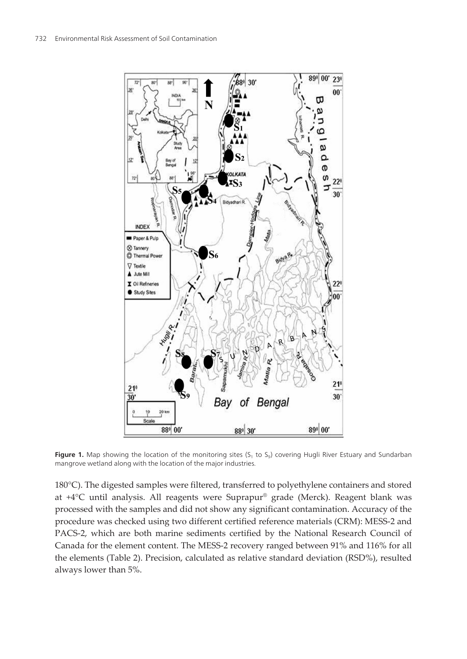

**Figure 1.** Map showing the location of the monitoring sites (S<sub>1</sub> to S<sub>9</sub>) covering Hugli River Estuary and Sundarban mangrove wetland along with the location of the major industries.

180°C). The digested samples were filtered, transferred to polyethylene containers and stored at +4°C until analysis. All reagents were Suprapur® grade (Merck). Reagent blank was processed with the samples and did not show any significant contamination. Accuracy of the procedure was checked using two different certified reference materials (CRM): MESS-2 and PACS-2, which are both marine sediments certified by the National Research Council of Canada for the element content. The MESS-2 recovery ranged between 91% and 116% for all the elements (Table 2). Precision, calculated as relative standard deviation (RSD%), resulted always lower than 5%.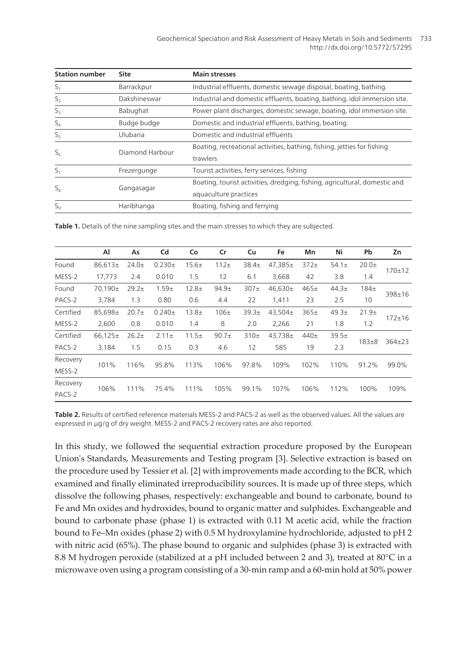| <b>Station number</b> | Site            | <b>Main stresses</b>                                                       |
|-----------------------|-----------------|----------------------------------------------------------------------------|
| $S_1$                 | Barrackpur      | Industrial effluents, domestic sewage disposal, boating, bathing.          |
| $S_{2}$               | Dakshineswar    | Industrial and domestic effluents, boating, bathing, idol immersion site.  |
| $S_{\rm R}$           | Babughat        | Power plant discharges, domestic sewage, boating, idol immersion site.     |
| $S_{4}$               | Budge budge     | Domestic and industrial effluents, bathing, boating.                       |
| $S_{5}$               | Ulubaria        | Domestic and industrial effluents                                          |
|                       | Diamond Harbour | Boating, recreational activities, bathing, fishing, jetties for fishing    |
| $S_{\kappa}$          |                 | trawlers                                                                   |
| $S_{7}$               | Frezergunge     | Tourist activities, ferry services, fishing                                |
| $S_{R}$               | Gangasagar      | Boating, tourist activities, dredging, fishing, agricultural, domestic and |
|                       |                 | aquaculture practices                                                      |
| S。                    | Haribhanga      | Boating, fishing and ferrying                                              |

**Table 1.** Details of the nine sampling sites and the main stresses to which they are subjected.

|           | Al           | As      | Cd          | Co       | Cr       | Cu      | Fe           | Mn     | Ni         | Pb               | Zn           |
|-----------|--------------|---------|-------------|----------|----------|---------|--------------|--------|------------|------------------|--------------|
| Found     | $86.613 \pm$ | $24.0+$ | $0.230+$    | $15.6+$  | $112+$   | $38.4+$ | $47.385 \pm$ | $372+$ | $54.1 \pm$ | $20.0+$          |              |
| MESS-2    | 17.773       | 2.4     | 0.010       | 1.5      | 12       | 6.1     | 3,668        | 42     | 3.8        | 1.4              | 170±12       |
| Found     | 70.190±      | $29.2+$ | $1.59 +$    | $12.8 +$ | $94.9+$  | $307+$  | $46,630 \pm$ | $465+$ | $44.3+$    | 184 <sub>±</sub> |              |
| PACS-2    | 3.784        | 1.3     | 0.80        | 0.6      | 4.4      | 22      | 1.411        | 23     | 2.5        | 10               | 398±16       |
| Certified | 85,698±      | $20.7+$ | $0.240 \pm$ | $13.8 +$ | $106\pm$ | $39.3+$ | $43.504 \pm$ | $365+$ | $49.3+$    | $21.9+$          | $172 \pm 16$ |
| MESS-2    | 2,600        | 0.8     | 0.010       | 1.4      | 8        | 2.0     | 2,266        | 21     | 1.8        | 1.2              |              |
| Certified | $66.125 \pm$ | $26.2+$ | $2.11 \pm$  | $11.5+$  | $90.7+$  | 310±    | $43.738 +$   | $440+$ | $39.5+$    | $183 + 8$        | $364 \pm 23$ |
| PACS-2    | 3,184        | 1.5     | 0.15        | 0.3      | 4.6      | 12      | 585          | 19     | 2.3        |                  |              |
| Recovery  | 101%         | 116%    | 95.8%       | 113%     | 106%     | 97.8%   | 109%         | 102%   | 110%       | 91.2%            | 99.0%        |
| MESS-2    |              |         |             |          |          |         |              |        |            |                  |              |
| Recovery  | 106%         | 111%    | 75.4%       | 111%     | 105%     | 99.1%   | 107%         | 106%   | 112%       | 100%             | 109%         |
| PACS-2    |              |         |             |          |          |         |              |        |            |                  |              |

Table 2. Results of certified reference materials MESS-2 and PACS-2 as well as the observed values. All the values are expressed in μg/g of dry weight. MESS-2 and PACS-2 recovery rates are also reported.

In this study, we followed the sequential extraction procedure proposed by the European Union's Standards, Measurements and Testing program [[3](#page-24-0)]. Selective extraction is based on the procedure used by Tessier et al. [[2](#page-24-0)] with improvements made according to the BCR, which examined and finally eliminated irreproducibility sources. It is made up of three steps, which dissolve the following phases, respectively: exchangeable and bound to carbonate, bound to Fe and Mn oxides and hydroxides, bound to organic matter and sulphides. Exchangeable and bound to carbonate phase (phase 1) is extracted with 0.11 M acetic acid, while the fraction bound to Fe–Mn oxides (phase 2) with 0.5 M hydroxylamine hydrochloride, adjusted to pH 2 with nitric acid (65%). The phase bound to organic and sulphides (phase 3) is extracted with 8.8 M hydrogen peroxide (stabilized at a pH included between 2 and 3), treated at 80°C in a microwave oven using a program consisting of a 30-min ramp and a 60-min hold at 50% power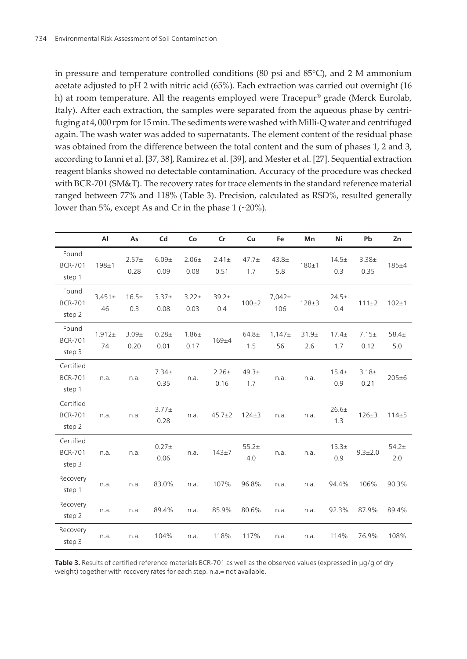in pressure and temperature controlled conditions (80 psi and 85°C), and 2 M ammonium acetate adjusted to pH 2 with nitric acid (65%). Each extraction was carried out overnight (16 h) at room temperature. All the reagents employed were Tracepur® grade (Merck Eurolab, Italy). After each extraction, the samples were separated from the aqueous phase by centrifuging at 4, 000 rpm for 15 min. The sediments were washed with Milli-Q water and centrifuged again. The wash water was added to supernatants. The element content of the residual phase was obtained from the difference between the total content and the sum of phases 1, 2 and 3, according to Ianni et al. [\[37](#page-27-0), [38](#page-27-0)], Ramirez et al. [[39\]](#page-27-0), and Mester et al. [\[27\]](#page-26-0). Sequential extraction reagent blanks showed no detectable contamination. Accuracy of the procedure was checked with BCR-701 (SM&T). The recovery rates for trace elements in the standard reference material ranged between 77% and 118% (Table 3). Precision, calculated as RSD%, resulted generally lower than 5%, except As and Cr in the phase 1 (~20%).

|                                       | Al                | As               | Cd               | Co               | Cr                 | Cu              | Fe              | Mn             | Ni             | Pb               | Zn             |
|---------------------------------------|-------------------|------------------|------------------|------------------|--------------------|-----------------|-----------------|----------------|----------------|------------------|----------------|
| Found<br><b>BCR-701</b><br>step 1     | $198 + 1$         | $2.57+$<br>0.28  | $6.09 +$<br>0.09 | $2.06 +$<br>0.08 | $2.41 \pm$<br>0.51 | $47.7+$<br>1.7  | $43.8 +$<br>5.8 | $180 + 1$      | $14.5+$<br>0.3 | $3.38 +$<br>0.35 | $185 + 4$      |
| Found<br><b>BCR-701</b><br>step 2     | $3,451 \pm$<br>46 | $16.5+$<br>0.3   | $3.37 +$<br>0.08 | $3.22 +$<br>0.03 | $39.2+$<br>0.4     | $100 + 2$       | $7,042+$<br>106 | $128 + 3$      | $24.5+$<br>0.4 | 111±2            | $102 + 1$      |
| Found<br><b>BCR-701</b><br>step 3     | $1,912 \pm$<br>74 | $3.09 +$<br>0.20 | $0.28 +$<br>0.01 | $1.86 +$<br>0.17 | $169 + 4$          | $64.8 +$<br>1.5 | $1,147+$<br>56  | $31.9+$<br>2.6 | $17.4+$<br>1.7 | $7.15+$<br>0.12  | $58.4+$<br>5.0 |
| Certified<br><b>BCR-701</b><br>step 1 | n.a.              | n.a.             | $7.34+$<br>0.35  | n.a.             | $2.26 +$<br>0.16   | $49.3+$<br>1.7  | n.a.            | n.a.           | $15.4+$<br>0.9 | $3.18 +$<br>0.21 | $205 + 6$      |
| Certified<br><b>BCR-701</b><br>step 2 | n.a.              | n.a.             | $3.77 +$<br>0.28 | n.a.             | $45.7 \pm 2$       | $124 + 3$       | n.a.            | n.a.           | $26.6+$<br>1.3 | $126 + 3$        | $114 + 5$      |
| Certified<br><b>BCR-701</b><br>step 3 | n.a.              | n.a.             | $0.27 +$<br>0.06 | n.a.             | $143 + 7$          | $55.2+$<br>4.0  | n.a.            | n.a.           | $15.3+$<br>0.9 | $9.3 + 2.0$      | $54.2+$<br>2.0 |
| Recovery<br>step 1                    | n.a.              | n.a.             | 83.0%            | n.a.             | 107%               | 96.8%           | n.a.            | n.a.           | 94.4%          | 106%             | 90.3%          |
| Recovery<br>step 2                    | n.a.              | n.a.             | 89.4%            | n.a.             | 85.9%              | 80.6%           | n.a.            | n.a.           | 92.3%          | 87.9%            | 89.4%          |
| Recovery<br>step 3                    | n.a.              | n.a.             | 104%             | n.a.             | 118%               | 117%            | n.a.            | n.a.           | 114%           | 76.9%            | 108%           |

**Table 3.** Results of certified reference materials BCR-701 as well as the observed values (expressed in μg/g of dry weight) together with recovery rates for each step. n.a.= not available.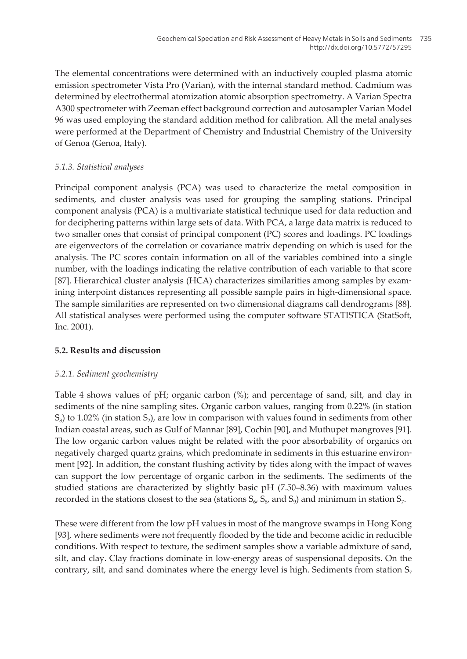The elemental concentrations were determined with an inductively coupled plasma atomic emission spectrometer Vista Pro (Varian), with the internal standard method. Cadmium was determined by electrothermal atomization atomic absorption spectrometry. A Varian Spectra A300 spectrometer with Zeeman effect background correction and autosampler Varian Model 96 was used employing the standard addition method for calibration. All the metal analyses were performed at the Department of Chemistry and Industrial Chemistry of the University of Genoa (Genoa, Italy).

### *5.1.3. Statistical analyses*

Principal component analysis (PCA) was used to characterize the metal composition in sediments, and cluster analysis was used for grouping the sampling stations. Principal component analysis (PCA) is a multivariate statistical technique used for data reduction and for deciphering patterns within large sets of data. With PCA, a large data matrix is reduced to two smaller ones that consist of principal component (PC) scores and loadings. PC loadings are eigenvectors of the correlation or covariance matrix depending on which is used for the analysis. The PC scores contain information on all of the variables combined into a single number, with the loadings indicating the relative contribution of each variable to that score [[87\]](#page-31-0). Hierarchical cluster analysis (HCA) characterizes similarities among samples by examining interpoint distances representing all possible sample pairs in high-dimensional space. The sample similarities are represented on two dimensional diagrams call dendrograms [[88\]](#page-31-0). All statistical analyses were performed using the computer software STATISTICA (StatSoft, Inc. 2001).

#### **5.2. Results and discussion**

### *5.2.1. Sediment geochemistry*

Table 4 shows values of pH; organic carbon (%); and percentage of sand, silt, and clay in sediments of the nine sampling sites. Organic carbon values, ranging from 0.22% (in station  $\mathsf{S}_8$ ) to 1.02% (in station  $\mathsf{S}_2$ ), are low in comparison with values found in sediments from other Indian coastal areas, such as Gulf of Mannar [\[89](#page-31-0)], Cochin [[90\]](#page-31-0), and Muthupet mangroves [[91\]](#page-31-0). The low organic carbon values might be related with the poor absorbability of organics on negatively charged quartz grains, which predominate in sediments in this estuarine environ‐ ment [\[92](#page-31-0)]. In addition, the constant flushing activity by tides along with the impact of waves can support the low percentage of organic carbon in the sediments. The sediments of the studied stations are characterized by slightly basic pH (7.50–8.36) with maximum values recorded in the stations closest to the sea (stations  $S_{6}$ ,  $S_{8}$ , and  $S_{9}$ ) and minimum in station  $S_{7}$ .

These were different from the low pH values in most of the mangrove swamps in Hong Kong [[93\]](#page-31-0), where sediments were not frequently flooded by the tide and become acidic in reducible conditions. With respect to texture, the sediment samples show a variable admixture of sand, silt, and clay. Clay fractions dominate in low-energy areas of suspensional deposits. On the contrary, silt, and sand dominates where the energy level is high. Sediments from station  $S_7$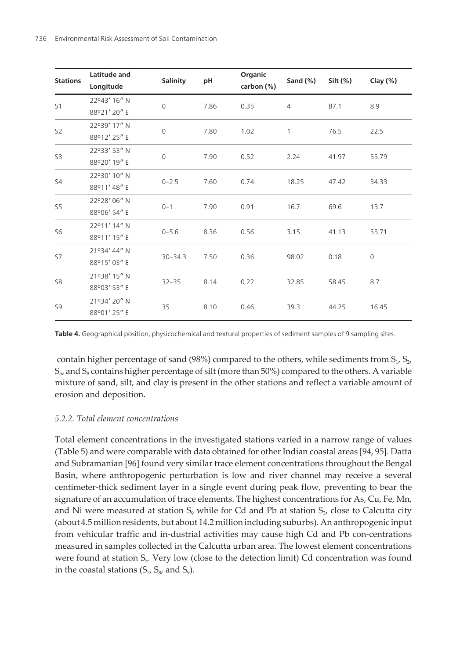| <b>Stations</b> | Latitude and<br>Longitude    | Salinity    | pH   | Organic<br>carbon (%) | Sand $(\%)$ | Silt (%) | Clay $(\%)$ |
|-----------------|------------------------------|-------------|------|-----------------------|-------------|----------|-------------|
| S <sub>1</sub>  | 22°43' 16" N<br>88°21' 20" E | $\mathbf 0$ | 7.86 | 0.35                  | 4           | 87.1     | 8.9         |
| S <sub>2</sub>  | 22°39' 17" N<br>88°12' 25" E | $\mathbf 0$ | 7.80 | 1.02                  | 1           | 76.5     | 22.5        |
| S <sub>3</sub>  | 22°33' 53" N<br>88°20' 19" E | 0           | 7.90 | 0.52                  | 2.24        | 41.97    | 55.79       |
| S <sub>4</sub>  | 22°30' 10" N<br>88°11' 48" E | $0 - 2.5$   | 7.60 | 0.74                  | 18.25       | 47.42    | 34.33       |
| <b>S5</b>       | 22°28' 06" N<br>88°06' 54" E | $0 - 1$     | 7.90 | 0.91                  | 16.7        | 69.6     | 13.7        |
| <b>S6</b>       | 22°11' 14" N<br>88°11' 15" E | $0 - 5.6$   | 8.36 | 0.56                  | 3.15        | 41.13    | 55.71       |
| S7              | 21°34' 44" N<br>88°15' 03" E | $30 - 34.3$ | 7.50 | 0.36                  | 98.02       | 0.18     | $\mathbf 0$ |
| S8              | 21°38' 15" N<br>88°03' 53" E | $32 - 35$   | 8.14 | 0.22                  | 32.85       | 58.45    | 8.7         |
| S <sub>9</sub>  | 21°34' 20" N<br>88°01' 25" E | 35          | 8.10 | 0.46                  | 39.3        | 44.25    | 16.45       |

**Table 4.** Geographical position, physicochemical and textural properties of sediment samples of 9 sampling sites.

contain higher percentage of sand (98%) compared to the others, while sediments from  $S_1$ ,  $S_2$ ,  $\mathsf{s}_{\mathsf{s}}$ , and  $\mathsf{s}_{\mathsf{s}}$  contains higher percentage of silt (more than 50%) compared to the others. A variable mixture of sand, silt, and clay is present in the other stations and reflect a variable amount of erosion and deposition.

#### *5.2.2. Total element concentrations*

Total element concentrations in the investigated stations varied in a narrow range of values (Table 5) and were comparable with data obtained for other Indian coastal areas [\[94](#page-31-0), [95](#page-31-0)]. Datta and Subramanian [[96\]](#page-31-0) found very similar trace element concentrations throughout the Bengal Basin, where anthropogenic perturbation is low and river channel may receive a several centimeter-thick sediment layer in a single event during peak flow, preventing to bear the signature of an accumulation of trace elements. The highest concentrations for As, Cu, Fe, Mn, and Ni were measured at station  $S_9$  while for Cd and Pb at station  $S_3$ , close to Calcutta city (about 4.5 million residents, but about 14.2 million including suburbs). An anthropogenic input from vehicular traffic and in-dustrial activities may cause high Cd and Pb con-centrations measured in samples collected in the Calcutta urban area. The lowest element concentrations were found at station S<sub>5</sub>. Very low (close to the detection limit) Cd concentration was found in the coastal stations  $(S_7, S_8, \text{ and } S_9)$ .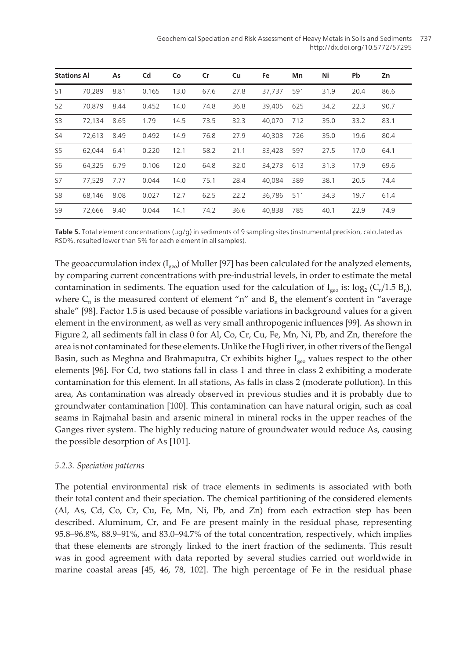| <b>Stations Al</b> |        | As   | Cd    | Co   | Cr   | Cu   | Fe     | Mn  | Ni   | Pb   | Zn   |
|--------------------|--------|------|-------|------|------|------|--------|-----|------|------|------|
| S <sub>1</sub>     | 70.289 | 8.81 | 0.165 | 13.0 | 67.6 | 27.8 | 37.737 | 591 | 31.9 | 20.4 | 86.6 |
| S <sub>2</sub>     | 70.879 | 8.44 | 0.452 | 14.0 | 74.8 | 36.8 | 39.405 | 625 | 34.2 | 22.3 | 90.7 |
| S3                 | 72,134 | 8.65 | 1.79  | 14.5 | 73.5 | 32.3 | 40.070 | 712 | 35.0 | 33.2 | 83.1 |
| S4                 | 72.613 | 8.49 | 0.492 | 14.9 | 76.8 | 27.9 | 40.303 | 726 | 35.0 | 19.6 | 80.4 |
| S5                 | 62.044 | 6.41 | 0.220 | 12.1 | 58.2 | 21.1 | 33,428 | 597 | 27.5 | 17.0 | 64.1 |
| S6                 | 64,325 | 6.79 | 0.106 | 12.0 | 64.8 | 32.0 | 34,273 | 613 | 31.3 | 17.9 | 69.6 |
| S7                 | 77.529 | 7.77 | 0.044 | 14.0 | 75.1 | 28.4 | 40.084 | 389 | 38.1 | 20.5 | 74.4 |
| S8                 | 68.146 | 8.08 | 0.027 | 12.7 | 62.5 | 22.2 | 36.786 | 511 | 34.3 | 19.7 | 61.4 |
| S9                 | 72,666 | 9.40 | 0.044 | 14.1 | 74.2 | 36.6 | 40.838 | 785 | 40.1 | 22.9 | 74.9 |

**Table 5.** Total element concentrations (μg/g) in sediments of 9 sampling sites (instrumental precision, calculated as RSD%, resulted lower than 5% for each element in all samples).

The geoaccumulation index  $(I_{geo})$  of Muller [\[97](#page-31-0)] has been calculated for the analyzed elements, by comparing current concentrations with pre-industrial levels, in order to estimate the metal contamination in sediments. The equation used for the calculation of  $I_{\text{geo}}$  is:  $\log_2 (C_n/1.5 B_n)$ , where  $C_n$  is the measured content of element "n" and  $B_n$  the element's content in "average shale" [[98\]](#page-32-0). Factor 1.5 is used because of possible variations in background values for a given element in the environment, as well as very small anthropogenic influences [\[99](#page-32-0)]. As shown in [Figure 2,](#page-19-0) all sediments fall in class 0 for Al, Co, Cr, Cu, Fe, Mn, Ni, Pb, and Zn, therefore the area is not contaminated for these elements. Unlike the Hugli river, in other rivers of the Bengal Basin, such as Meghna and Brahmaputra, Cr exhibits higher I<sub>geo</sub> values respect to the other elements [\[96](#page-31-0)]. For Cd, two stations fall in class 1 and three in class 2 exhibiting a moderate contamination for this element. In all stations, As falls in class 2 (moderate pollution). In this area, As contamination was already observed in previous studies and it is probably due to groundwater contamination [\[100\]](#page-32-0). This contamination can have natural origin, such as coal seams in Rajmahal basin and arsenic mineral in mineral rocks in the upper reaches of the Ganges river system. The highly reducing nature of groundwater would reduce As, causing the possible desorption of As [[101](#page-32-0)].

#### *5.2.3. Speciation patterns*

The potential environmental risk of trace elements in sediments is associated with both their total content and their speciation. The chemical partitioning of the considered elements (Al, As, Cd, Co, Cr, Cu, Fe, Mn, Ni, Pb, and Zn) from each extraction step has been described. Aluminum, Cr, and Fe are present mainly in the residual phase, representing 95.8–96.8%, 88.9–91%, and 83.0–94.7% of the total concentration, respectively, which implies that these elements are strongly linked to the inert fraction of the sediments. This result was in good agreement with data reported by several studies carried out worldwide in marine coastal areas [\[45](#page-27-0), [46,](#page-27-0) [78,](#page-30-0) [102\]](#page-32-0). The high percentage of Fe in the residual phase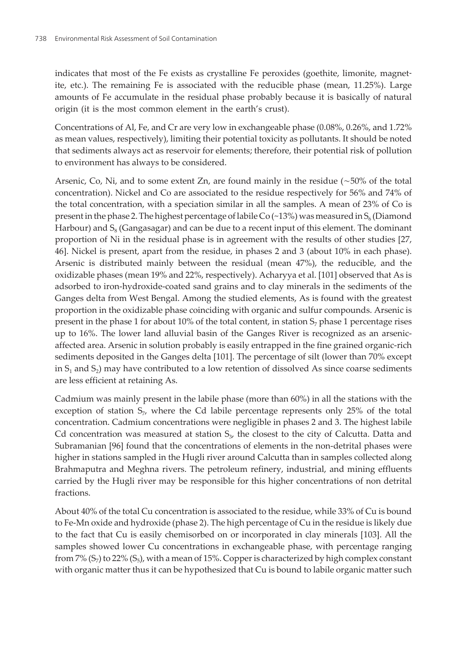indicates that most of the Fe exists as crystalline Fe peroxides (goethite, limonite, magnetite, etc.). The remaining Fe is associated with the reducible phase (mean, 11.25%). Large amounts of Fe accumulate in the residual phase probably because it is basically of natural origin (it is the most common element in the earth's crust).

Concentrations of Al, Fe, and Cr are very low in exchangeable phase (0.08%, 0.26%, and 1.72% as mean values, respectively), limiting their potential toxicity as pollutants. It should be noted that sediments always act as reservoir for elements; therefore, their potential risk of pollution to environment has always to be considered.

Arsenic, Co, Ni, and to some extent Zn, are found mainly in the residue (∼50% of the total concentration). Nickel and Co are associated to the residue respectively for 56% and 74% of the total concentration, with a speciation similar in all the samples. A mean of 23% of Co is present in the phase 2. The highest percentage of labile Co (~13%) was measured in  $\mathrm{S}_6$  (Diamond Harbour) and S $_{8}$  (Gangasagar) and can be due to a recent input of this element. The dominant proportion of Ni in the residual phase is in agreement with the results of other studies [\[27,](#page-26-0) [46\]](#page-27-0). Nickel is present, apart from the residue, in phases 2 and 3 (about 10% in each phase). Arsenic is distributed mainly between the residual (mean 47%), the reducible, and the oxidizable phases (mean 19% and 22%, respectively). Acharyya et al. [[101](#page-32-0)] observed that As is adsorbed to iron-hydroxide-coated sand grains and to clay minerals in the sediments of the Ganges delta from West Bengal. Among the studied elements, As is found with the greatest proportion in the oxidizable phase coinciding with organic and sulfur compounds. Arsenic is present in the phase 1 for about 10% of the total content, in station  $S_7$  phase 1 percentage rises up to 16%. The lower land alluvial basin of the Ganges River is recognized as an arsenicaffected area. Arsenic in solution probably is easily entrapped in the fine grained organic-rich sediments deposited in the Ganges delta [\[101\]](#page-32-0). The percentage of silt (lower than 70% except in  $S_1$  and  $S_2$ ) may have contributed to a low retention of dissolved As since coarse sediments are less efficient at retaining As.

Cadmium was mainly present in the labile phase (more than 60%) in all the stations with the exception of station  $S_{7}$ , where the Cd labile percentage represents only 25% of the total concentration. Cadmium concentrations were negligible in phases 2 and 3. The highest labile Cd concentration was measured at station  $S<sub>3</sub>$ , the closest to the city of Calcutta. Datta and Subramanian [[96\]](#page-31-0) found that the concentrations of elements in the non-detrital phases were higher in stations sampled in the Hugli river around Calcutta than in samples collected along Brahmaputra and Meghna rivers. The petroleum refinery, industrial, and mining effluents carried by the Hugli river may be responsible for this higher concentrations of non detrital fractions.

About 40% of the total Cu concentration is associated to the residue, while 33% of Cu is bound to Fe-Mn oxide and hydroxide (phase 2). The high percentage of Cu in the residue is likely due to the fact that Cu is easily chemisorbed on or incorporated in clay minerals [\[103\]](#page-32-0). All the samples showed lower Cu concentrations in exchangeable phase, with percentage ranging from 7% (S<sub>7</sub>) to 22% (S<sub>5</sub>), with a mean of 15%. Copper is characterized by high complex constant with organic matter thus it can be hypothesized that Cu is bound to labile organic matter such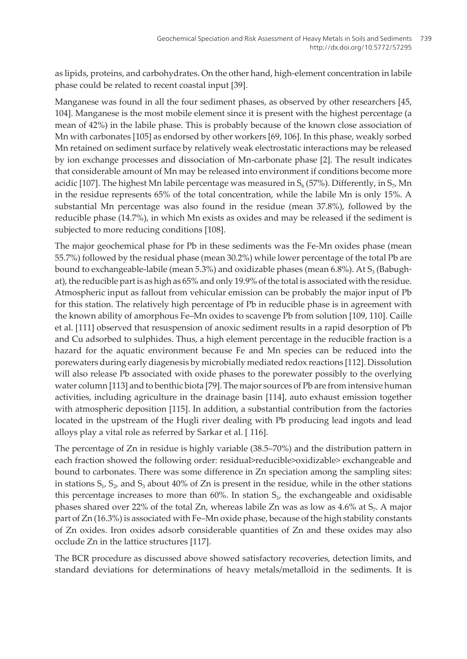as lipids, proteins, and carbohydrates. On the other hand, high-element concentration in labile phase could be related to recent coastal input [[39\]](#page-27-0).

Manganese was found in all the four sediment phases, as observed by other researchers [[45,](#page-27-0) [104](#page-32-0)]. Manganese is the most mobile element since it is present with the highest percentage (a mean of 42%) in the labile phase. This is probably because of the known close association of Mn with carbonates [\[105\]](#page-32-0) as endorsed by other workers [[69,](#page-29-0) [106](#page-32-0)]. In this phase, weakly sorbed Mn retained on sediment surface by relatively weak electrostatic interactions may be released by ion exchange processes and dissociation of Mn-carbonate phase [\[2\]](#page-24-0). The result indicates that considerable amount of Mn may be released into environment if conditions become more acidic [[107](#page-32-0)]. The highest Mn labile percentage was measured in  $\rm S_6$  (57%). Differently, in  $\rm S_{7}$ , Mn in the residue represents 65% of the total concentration, while the labile Mn is only 15%. A substantial Mn percentage was also found in the residue (mean 37.8%), followed by the reducible phase (14.7%), in which Mn exists as oxides and may be released if the sediment is subjected to more reducing conditions [\[108\]](#page-32-0).

The major geochemical phase for Pb in these sediments was the Fe-Mn oxides phase (mean 55.7%) followed by the residual phase (mean 30.2%) while lower percentage of the total Pb are bound to exchangeable-labile (mean 5.3%) and oxidizable phases (mean 6.8%). At  $\mathrm{S}_3$  (Babughat), the reducible part is as high as 65% and only 19.9% of the total is associated with the residue. Atmospheric input as fallout from vehicular emission can be probably the major input of Pb for this station. The relatively high percentage of Pb in reducible phase is in agreement with the known ability of amorphous Fe–Mn oxides to scavenge Pb from solution [[109](#page-32-0), [110\]](#page-32-0). Caille et al. [[111\]](#page-33-0) observed that resuspension of anoxic sediment results in a rapid desorption of Pb and Cu adsorbed to sulphides. Thus, a high element percentage in the reducible fraction is a hazard for the aquatic environment because Fe and Mn species can be reduced into the porewaters during early diagenesis by microbially mediated redox reactions [\[112\]](#page-33-0). Dissolution will also release Pb associated with oxide phases to the porewater possibly to the overlying water column [[113](#page-33-0)] and to benthic biota [[79\]](#page-30-0). The major sources of Pb are from intensive human activities, including agriculture in the drainage basin [\[114\]](#page-33-0), auto exhaust emission together with atmospheric deposition [[115](#page-33-0)]. In addition, a substantial contribution from the factories located in the upstream of the Hugli river dealing with Pb producing lead ingots and lead alloys play a vital role as referred by Sarkar et al. [ [116\]](#page-33-0).

The percentage of Zn in residue is highly variable (38.5–70%) and the distribution pattern in each fraction showed the following order: residual>reducible>oxidizable> exchangeable and bound to carbonates. There was some difference in Zn speciation among the sampling sites: in stations  $S_1$ ,  $S_2$ , and  $S_3$  about 40% of Zn is present in the residue, while in the other stations this percentage increases to more than  $60\%$ . In station  $S<sub>1</sub>$ , the exchangeable and oxidisable phases shared over 22% of the total Zn, whereas labile Zn was as low as 4.6% at S<sub>7</sub>. A major part of Zn (16.3%) is associated with Fe–Mn oxide phase, because of the high stability constants of Zn oxides. Iron oxides adsorb considerable quantities of Zn and these oxides may also occlude Zn in the lattice structures [\[117\]](#page-33-0).

The BCR procedure as discussed above showed satisfactory recoveries, detection limits, and standard deviations for determinations of heavy metals/metalloid in the sediments. It is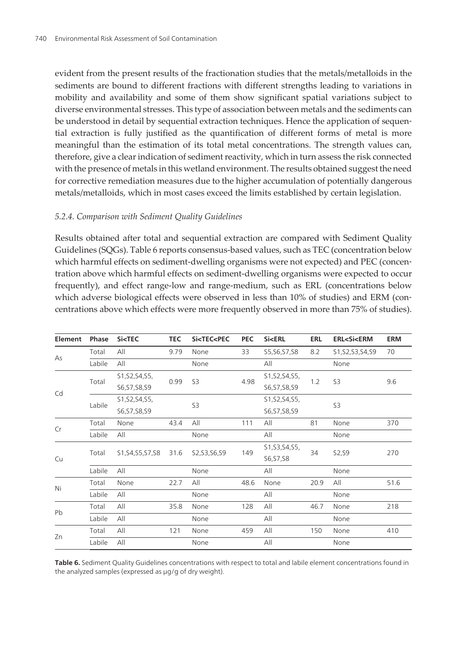evident from the present results of the fractionation studies that the metals/metalloids in the sediments are bound to different fractions with different strengths leading to variations in mobility and availability and some of them show significant spatial variations subject to diverse environmental stresses. This type of association between metals and the sediments can be understood in detail by sequential extraction techniques. Hence the application of sequential extraction is fully justified as the quantification of different forms of metal is more meaningful than the estimation of its total metal concentrations. The strength values can, therefore, give a clear indication of sediment reactivity, which in turn assess the risk connected with the presence of metals in this wetland environment. The results obtained suggest the need for corrective remediation measures due to the higher accumulation of potentially dangerous metals/metalloids, which in most cases exceed the limits established by certain legislation.

#### *5.2.4. Comparison with Sediment Quality Guidelines*

Results obtained after total and sequential extraction are compared with Sediment Quality Guidelines (SQGs). Table 6 reports consensus-based values, such as TEC (concentration below which harmful effects on sediment-dwelling organisms were not expected) and PEC (concentration above which harmful effects on sediment-dwelling organisms were expected to occur frequently), and effect range-low and range-medium, such as ERL (concentrations below which adverse biological effects were observed in less than 10% of studies) and ERM (concentrations above which effects were more frequently observed in more than 75% of studies).

| Element | Phase  | Si <tec< th=""><th><b>TEC</b></th><th>Si<tec<pec< th=""><th><b>PEC</b></th><th>Si<erl< th=""><th>ERL</th><th><b>ERL<si<erm< b=""></si<erm<></b></th><th><b>ERM</b></th></erl<></th></tec<pec<></th></tec<> | <b>TEC</b> | Si <tec<pec< th=""><th><b>PEC</b></th><th>Si<erl< th=""><th>ERL</th><th><b>ERL<si<erm< b=""></si<erm<></b></th><th><b>ERM</b></th></erl<></th></tec<pec<> | <b>PEC</b> | Si <erl< th=""><th>ERL</th><th><b>ERL<si<erm< b=""></si<erm<></b></th><th><b>ERM</b></th></erl<> | ERL  | <b>ERL<si<erm< b=""></si<erm<></b> | <b>ERM</b> |
|---------|--------|------------------------------------------------------------------------------------------------------------------------------------------------------------------------------------------------------------|------------|-----------------------------------------------------------------------------------------------------------------------------------------------------------|------------|--------------------------------------------------------------------------------------------------|------|------------------------------------|------------|
| As      | Total  | All                                                                                                                                                                                                        | 9.79       | None                                                                                                                                                      | 33         | S5, S6, S7, S8                                                                                   | 8.2  | S1, S2, S3, S4, S9                 | 70         |
|         | Labile | All                                                                                                                                                                                                        |            | None                                                                                                                                                      |            | All                                                                                              |      | None                               |            |
|         | Total  | S1, S2, S4, S5,                                                                                                                                                                                            | 0.99       | S3                                                                                                                                                        | 4.98       | S1, S2, S4, S5,                                                                                  | 1.2  | S3                                 | 9.6        |
| Cd      |        | S6, S7, S8, S9                                                                                                                                                                                             |            |                                                                                                                                                           |            | S6, S7, S8, S9                                                                                   |      |                                    |            |
|         | Labile | S1, S2, S4, S5,                                                                                                                                                                                            |            | S3                                                                                                                                                        |            | S1, S2, S4, S5,                                                                                  |      | S3                                 |            |
|         |        | S6, S7, S8, S9                                                                                                                                                                                             |            |                                                                                                                                                           |            | S6, S7, S8, S9                                                                                   |      |                                    |            |
| Cr      | Total  | None                                                                                                                                                                                                       | 43.4       | All                                                                                                                                                       | 111        | All                                                                                              | 81   | None                               | 370        |
|         | Labile | All                                                                                                                                                                                                        |            | None                                                                                                                                                      |            | All                                                                                              |      | None                               |            |
|         | Total  | S1, S4, S5, S7, S8                                                                                                                                                                                         | 31.6       | S2, S3, S6, S9                                                                                                                                            | 149        | S1, S3, S4, S5,                                                                                  | 34   | S2, S9                             | 270        |
| Cu      |        |                                                                                                                                                                                                            |            |                                                                                                                                                           |            | S6, S7, S8                                                                                       |      |                                    |            |
|         | Labile | All                                                                                                                                                                                                        |            | None                                                                                                                                                      |            | All                                                                                              |      | None                               |            |
| Ni      | Total  | None                                                                                                                                                                                                       | 22.7       | All                                                                                                                                                       | 48.6       | None                                                                                             | 20.9 | All                                | 51.6       |
|         | Labile | All                                                                                                                                                                                                        |            | None                                                                                                                                                      |            | All                                                                                              |      | None                               |            |
| Pb      | Total  | All                                                                                                                                                                                                        | 35.8       | None                                                                                                                                                      | 128        | All                                                                                              | 46.7 | None                               | 218        |
|         | Labile | All                                                                                                                                                                                                        |            | None                                                                                                                                                      |            | All                                                                                              |      | None                               |            |
| Zn      | Total  | All                                                                                                                                                                                                        | 121        | None                                                                                                                                                      | 459        | All                                                                                              | 150  | None                               | 410        |
|         | Labile | All                                                                                                                                                                                                        |            | None                                                                                                                                                      |            | All                                                                                              |      | None                               |            |

**Table 6.** Sediment Quality Guidelines concentrations with respect to total and labile element concentrations found in the analyzed samples (expressed as μg/g of dry weight).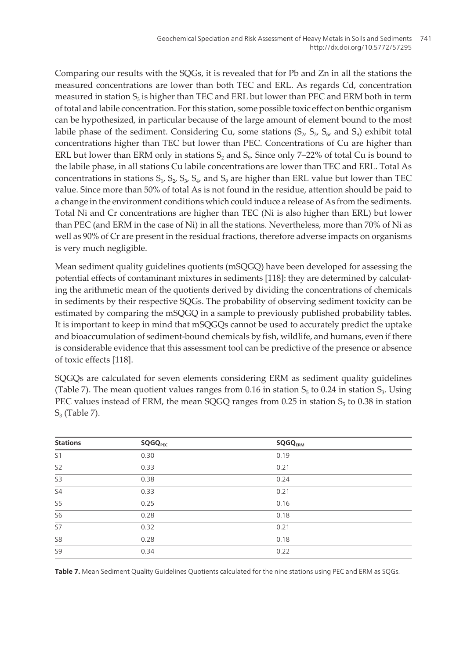Comparing our results with the SQGs, it is revealed that for Pb and Zn in all the stations the measured concentrations are lower than both TEC and ERL. As regards Cd, concentration measured in station  $\mathsf{S}_3$  is higher than TEC and ERL but lower than PEC and ERM both in term of total and labile concentration. For this station, some possible toxic effect on benthic organism can be hypothesized, in particular because of the large amount of element bound to the most labile phase of the sediment. Considering Cu, some stations  $(S_2, S_3, S_6, \text{ and } S_9)$  exhibit total concentrations higher than TEC but lower than PEC. Concentrations of Cu are higher than ERL but lower than ERM only in stations  $\mathsf{S}_2$  and  $\mathsf{S}_9$ . Since only 7–22% of total Cu is bound to the labile phase, in all stations Cu labile concentrations are lower than TEC and ERL. Total As concentrations in stations  $S_1$ ,  $S_2$ ,  $S_3$ ,  $S_4$ , and  $S_9$  are higher than ERL value but lower than TEC value. Since more than 50% of total As is not found in the residue, attention should be paid to a change in the environment conditions which could induce a release of As from the sediments. Total Ni and Cr concentrations are higher than TEC (Ni is also higher than ERL) but lower than PEC (and ERM in the case of Ni) in all the stations. Nevertheless, more than 70% of Ni as well as 90% of Cr are present in the residual fractions, therefore adverse impacts on organisms is very much negligible.

Mean sediment quality guidelines quotients (mSQGQ) have been developed for assessing the potential effects of contaminant mixtures in sediments [[118](#page-33-0)]: they are determined by calculating the arithmetic mean of the quotients derived by dividing the concentrations of chemicals in sediments by their respective SQGs. The probability of observing sediment toxicity can be estimated by comparing the mSQGQ in a sample to previously published probability tables. It is important to keep in mind that mSQGQs cannot be used to accurately predict the uptake and bioaccumulation of sediment-bound chemicals by fish, wildlife, and humans, even if there is considerable evidence that this assessment tool can be predictive of the presence or absence of toxic effects [[118](#page-33-0)].

SQGQs are calculated for seven elements considering ERM as sediment quality guidelines (Table 7). The mean quotient values ranges from 0.16 in station  $S_5$  to 0.24 in station  $S_3$ . Using PEC values instead of ERM, the mean SQGQ ranges from 0.25 in station  $S_5$  to 0.38 in station  $S_3$  (Table 7).

| <b>Stations</b> | <b>SQGQ<sub>PEC</sub></b> | <b>SQGQ<sub>ERM</sub></b> |
|-----------------|---------------------------|---------------------------|
| S <sub>1</sub>  | 0.30                      | 0.19                      |
| S <sub>2</sub>  | 0.33                      | 0.21                      |
| S <sub>3</sub>  | 0.38                      | 0.24                      |
| 54              | 0.33                      | 0.21                      |
| S <sub>5</sub>  | 0.25                      | 0.16                      |
| S <sub>6</sub>  | 0.28                      | 0.18                      |
| S7              | 0.32                      | 0.21                      |
| S8              | 0.28                      | 0.18                      |
| <b>S9</b>       | 0.34                      | 0.22                      |

**Table 7.** Mean Sediment Quality Guidelines Quotients calculated for the nine stations using PEC and ERM as SQGs.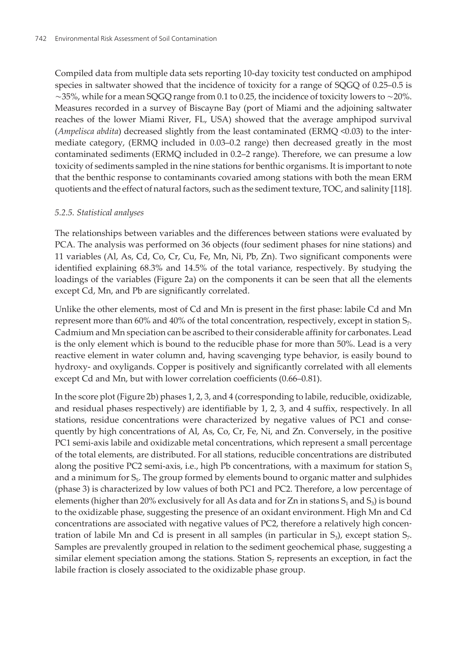<span id="page-19-0"></span>Compiled data from multiple data sets reporting 10-day toxicity test conducted on amphipod species in saltwater showed that the incidence of toxicity for a range of SQGQ of 0.25–0.5 is  $~\sim$ 35%, while for a mean SQGQ range from 0.1 to 0.25, the incidence of toxicity lowers to  $~\sim$ 20%. Measures recorded in a survey of Biscayne Bay (port of Miami and the adjoining saltwater reaches of the lower Miami River, FL, USA) showed that the average amphipod survival (*Ampelisca abdita*) decreased slightly from the least contaminated (ERMQ <0.03) to the inter‐ mediate category, (ERMQ included in 0.03–0.2 range) then decreased greatly in the most contaminated sediments (ERMQ included in 0.2–2 range). Therefore, we can presume a low toxicity of sediments sampled in the nine stations for benthic organisms. It is important to note that the benthic response to contaminants covaried among stations with both the mean ERM quotients and the effect of natural factors, such as the sediment texture, TOC, and salinity [\[118\]](#page-33-0).

#### *5.2.5. Statistical analyses*

The relationships between variables and the differences between stations were evaluated by PCA. The analysis was performed on 36 objects (four sediment phases for nine stations) and 11 variables (Al, As, Cd, Co, Cr, Cu, Fe, Mn, Ni, Pb, Zn). Two significant components were identified explaining 68.3% and 14.5% of the total variance, respectively. By studying the loadings of the variables (Figure 2a) on the components it can be seen that all the elements except Cd, Mn, and Pb are significantly correlated.

Unlike the other elements, most of Cd and Mn is present in the first phase: labile Cd and Mn represent more than 60% and 40% of the total concentration, respectively, except in station  $S_7$ . Cadmium and Mn speciation can be ascribed to their considerable affinity for carbonates. Lead is the only element which is bound to the reducible phase for more than 50%. Lead is a very reactive element in water column and, having scavenging type behavior, is easily bound to hydroxy- and oxyligands. Copper is positively and significantly correlated with all elements except Cd and Mn, but with lower correlation coefficients (0.66–0.81).

In the score plot (Figure 2b) phases 1, 2, 3, and 4 (corresponding to labile, reducible, oxidizable, and residual phases respectively) are identifiable by 1, 2, 3, and 4 suffix, respectively. In all stations, residue concentrations were characterized by negative values of PC1 and consequently by high concentrations of Al, As, Co, Cr, Fe, Ni, and Zn. Conversely, in the positive PC1 semi-axis labile and oxidizable metal concentrations, which represent a small percentage of the total elements, are distributed. For all stations, reducible concentrations are distributed along the positive PC2 semi-axis, i.e., high Pb concentrations, with a maximum for station  $S_3$ and a minimum for  $S_{5}$ . The group formed by elements bound to organic matter and sulphides (phase 3) is characterized by low values of both PC1 and PC2. Therefore, a low percentage of elements (higher than 20% exclusively for all As data and for Zn in stations  $\mathrm{S}_1$  and  $\mathrm{S}_3$ ) is bound to the oxidizable phase, suggesting the presence of an oxidant environment. High Mn and Cd concentrations are associated with negative values of PC2, therefore a relatively high concentration of labile Mn and Cd is present in all samples (in particular in  $S_3$ ), except station  $S_7$ . Samples are prevalently grouped in relation to the sediment geochemical phase, suggesting a similar element speciation among the stations. Station  $S_7$  represents an exception, in fact the labile fraction is closely associated to the oxidizable phase group.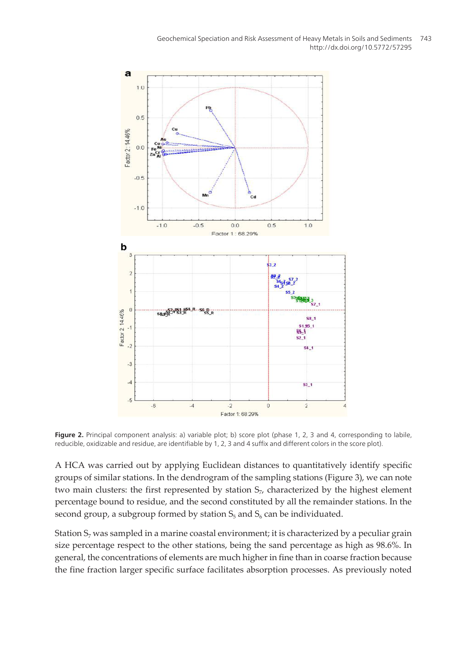Geochemical Speciation and Risk Assessment of Heavy Metals in Soils and Sediments 743http://dx.doi.org/10.5772/57295



Figure 2. Principal component analysis: a) variable plot; b) score plot (phase 1, 2, 3 and 4, corresponding to labile, reducible, oxidizable and residue, are identifiable by 1, 2, 3 and 4 suffix and different colors in the score plot).

A HCA was carried out by applying Euclidean distances to quantitatively identify specific groups of similar stations. In the dendrogram of the sampling stations (Figure 3), we can note two main clusters: the first represented by station  $S_{7}$ , characterized by the highest element percentage bound to residue, and the second constituted by all the remainder stations. In the second group, a subgroup formed by station  $S_5$  and  $S_6$  can be individuated.

Station S<sub>7</sub> was sampled in a marine coastal environment; it is characterized by a peculiar grain size percentage respect to the other stations, being the sand percentage as high as 98.6%. In general, the concentrations of elements are much higher in fine than in coarse fraction because the fine fraction larger specific surface facilitates absorption processes. As previously noted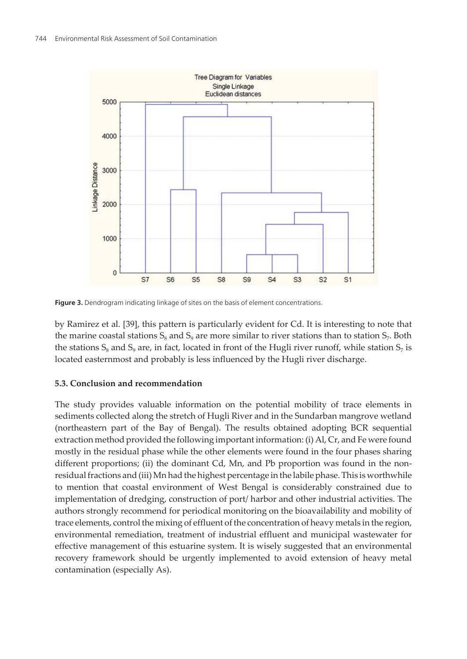

**Figure 3.** Dendrogram indicating linkage of sites on the basis of element concentrations.

by Ramirez et al. [[39\]](#page-27-0), this pattern is particularly evident for Cd. It is interesting to note that the marine coastal stations  $S_8$  and  $S_9$  are more similar to river stations than to station  $S_7$ . Both the stations  $S_8$  and  $S_9$  are, in fact, located in front of the Hugli river runoff, while station  $S_7$  is located easternmost and probably is less influenced by the Hugli river discharge.

#### **5.3. Conclusion and recommendation**

The study provides valuable information on the potential mobility of trace elements in sediments collected along the stretch of Hugli River and in the Sundarban mangrove wetland (northeastern part of the Bay of Bengal). The results obtained adopting BCR sequential extraction method provided the following important information: (i) Al, Cr, and Fe were found mostly in the residual phase while the other elements were found in the four phases sharing different proportions; (ii) the dominant Cd, Mn, and Pb proportion was found in the nonresidual fractions and (iii) Mn had the highest percentage in the labile phase. This is worthwhile to mention that coastal environment of West Bengal is considerably constrained due to implementation of dredging, construction of port/ harbor and other industrial activities. The authors strongly recommend for periodical monitoring on the bioavailability and mobility of trace elements, control the mixing of effluent of the concentration of heavy metals in the region, environmental remediation, treatment of industrial effluent and municipal wastewater for effective management of this estuarine system. It is wisely suggested that an environmental recovery framework should be urgently implemented to avoid extension of heavy metal contamination (especially As).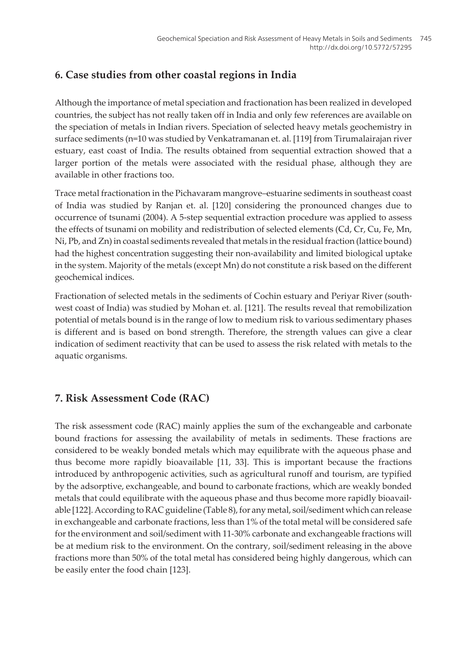# **6. Case studies from other coastal regions in India**

Although the importance of metal speciation and fractionation has been realized in developed countries, the subject has not really taken off in India and only few references are available on the speciation of metals in Indian rivers. Speciation of selected heavy metals geochemistry in surface sediments (n=10 was studied by Venkatramanan et. al. [[119](#page-33-0)] from Tirumalairajan river estuary, east coast of India. The results obtained from sequential extraction showed that a larger portion of the metals were associated with the residual phase, although they are available in other fractions too.

Trace metal fractionation in the Pichavaram mangrove–estuarine sediments in southeast coast of India was studied by Ranjan et. al. [\[120\]](#page-33-0) considering the pronounced changes due to occurrence of tsunami (2004). A 5-step sequential extraction procedure was applied to assess the effects of tsunami on mobility and redistribution of selected elements (Cd, Cr, Cu, Fe, Mn, Ni, Pb, and Zn) in coastal sediments revealed that metals in the residual fraction (lattice bound) had the highest concentration suggesting their non-availability and limited biological uptake in the system. Majority of the metals (except Mn) do not constitute a risk based on the different geochemical indices.

Fractionation of selected metals in the sediments of Cochin estuary and Periyar River (south‐ west coast of India) was studied by Mohan et. al. [[121](#page-33-0)]. The results reveal that remobilization potential of metals bound is in the range of low to medium risk to various sedimentary phases is different and is based on bond strength. Therefore, the strength values can give a clear indication of sediment reactivity that can be used to assess the risk related with metals to the aquatic organisms.

# **7. Risk Assessment Code (RAC)**

The risk assessment code (RAC) mainly applies the sum of the exchangeable and carbonate bound fractions for assessing the availability of metals in sediments. These fractions are considered to be weakly bonded metals which may equilibrate with the aqueous phase and thus become more rapidly bioavailable [\[11](#page-25-0), [33\]](#page-26-0). This is important because the fractions introduced by anthropogenic activities, such as agricultural runoff and tourism, are typified by the adsorptive, exchangeable, and bound to carbonate fractions, which are weakly bonded metals that could equilibrate with the aqueous phase and thus become more rapidly bioavail‐ able [\[122\]](#page-33-0). According to RAC guideline (Table 8), for any metal, soil/sediment which can release in exchangeable and carbonate fractions, less than 1% of the total metal will be considered safe for the environment and soil/sediment with 11-30% carbonate and exchangeable fractions will be at medium risk to the environment. On the contrary, soil/sediment releasing in the above fractions more than 50% of the total metal has considered being highly dangerous, which can be easily enter the food chain [\[123\]](#page-33-0).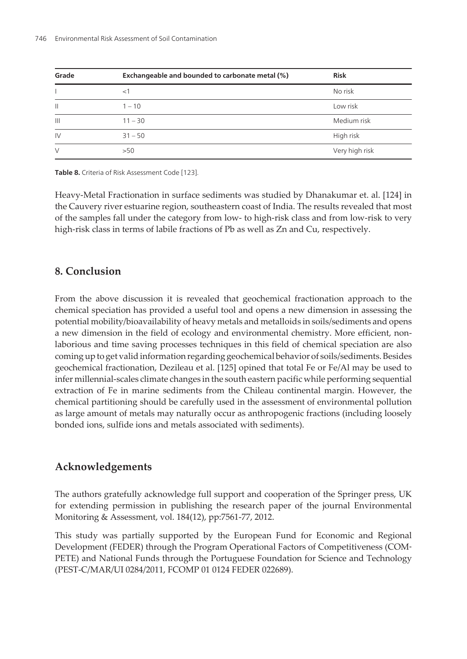| Grade          | Exchangeable and bounded to carbonate metal (%) | <b>Risk</b>    |
|----------------|-------------------------------------------------|----------------|
|                | $<$ 1                                           | No risk        |
| $\mathbf{  }$  | $1 - 10$                                        | Low risk       |
| $\mathbf{III}$ | $11 - 30$                                       | Medium risk    |
| IV             | $31 - 50$                                       | High risk      |
| V              | >50                                             | Very high risk |

**Table 8.** Criteria of Risk Assessment Code [\[123](#page-33-0)].

Heavy-Metal Fractionation in surface sediments was studied by Dhanakumar et. al. [\[124\]](#page-34-0) in the Cauvery river estuarine region, southeastern coast of India. The results revealed that most of the samples fall under the category from low- to high-risk class and from low-risk to very high-risk class in terms of labile fractions of Pb as well as Zn and Cu, respectively.

### **8. Conclusion**

From the above discussion it is revealed that geochemical fractionation approach to the chemical speciation has provided a useful tool and opens a new dimension in assessing the potential mobility/bioavailability of heavy metals and metalloids in soils/sediments and opens a new dimension in the field of ecology and environmental chemistry. More efficient, nonlaborious and time saving processes techniques in this field of chemical speciation are also coming up to get valid information regarding geochemical behavior of soils/sediments. Besides geochemical fractionation, Dezileau et al. [\[125\]](#page-34-0) opined that total Fe or Fe/Al may be used to infer millennial-scales climate changes in the south eastern pacific while performing sequential extraction of Fe in marine sediments from the Chileau continental margin. However, the chemical partitioning should be carefully used in the assessment of environmental pollution as large amount of metals may naturally occur as anthropogenic fractions (including loosely bonded ions, sulfide ions and metals associated with sediments).

### **Acknowledgements**

The authors gratefully acknowledge full support and cooperation of the Springer press, UK for extending permission in publishing the research paper of the journal Environmental Monitoring & Assessment, vol. 184(12), pp:7561-77, 2012.

This study was partially supported by the European Fund for Economic and Regional Development (FEDER) through the Program Operational Factors of Competitiveness (COM‐ PETE) and National Funds through the Portuguese Foundation for Science and Technology (PEST-C/MAR/UI 0284/2011, FCOMP 01 0124 FEDER 022689).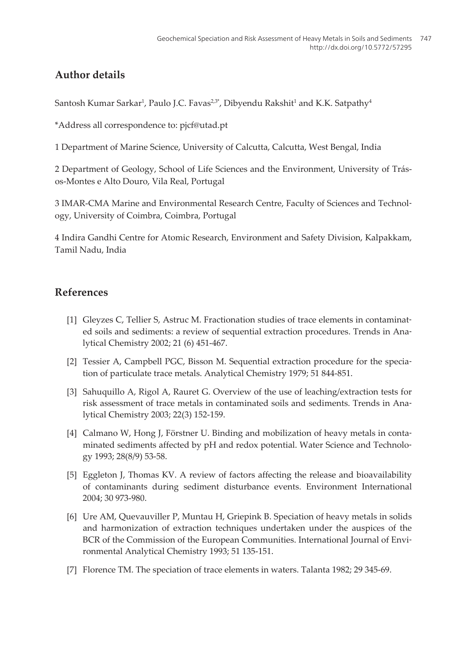# <span id="page-24-0"></span>**Author details**

Santosh Kumar Sarkar<sup>1</sup>, Paulo J.C. Favas<sup>2,3\*</sup>, Dibyendu Rakshit<sup>1</sup> and K.K. Satpathy<sup>4</sup>

\*Address all correspondence to: pjcf@utad.pt

1 Department of Marine Science, University of Calcutta, Calcutta, West Bengal, India

2 Department of Geology, School of Life Sciences and the Environment, University of Trásos-Montes e Alto Douro, Vila Real, Portugal

3 IMAR-CMA Marine and Environmental Research Centre, Faculty of Sciences and Technol‐ ogy, University of Coimbra, Coimbra, Portugal

4 Indira Gandhi Centre for Atomic Research, Environment and Safety Division, Kalpakkam, Tamil Nadu, India

### **References**

- [1] Gleyzes C, Tellier S, Astruc M. Fractionation studies of trace elements in contaminat‐ ed soils and sediments: a review of sequential extraction procedures. Trends in Ana‐ lytical Chemistry 2002; 21 (6) 451-467.
- [2] Tessier A, Campbell PGC, Bisson M. Sequential extraction procedure for the speciation of particulate trace metals. Analytical Chemistry 1979; 51 844-851.
- [3] Sahuquillo A, Rigol A, Rauret G. Overview of the use of leaching/extraction tests for risk assessment of trace metals in contaminated soils and sediments. Trends in Ana‐ lytical Chemistry 2003; 22(3) 152-159.
- [4] Calmano W, Hong J, Förstner U. Binding and mobilization of heavy metals in contaminated sediments affected by pH and redox potential. Water Science and Technology 1993; 28(8/9) 53-58.
- [5] Eggleton J, Thomas KV. A review of factors affecting the release and bioavailability of contaminants during sediment disturbance events. Environment International 2004; 30 973-980.
- [6] Ure AM, Quevauviller P, Muntau H, Griepink B. Speciation of heavy metals in solids and harmonization of extraction techniques undertaken under the auspices of the BCR of the Commission of the European Communities. International Journal of Environmental Analytical Chemistry 1993; 51 135-151.
- [7] Florence TM. The speciation of trace elements in waters. Talanta 1982; 29 345-69.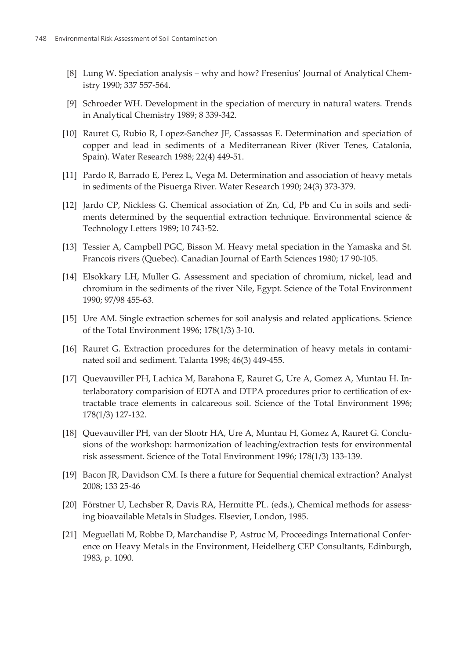- <span id="page-25-0"></span>[8] Lung W. Speciation analysis – why and how? Fresenius' Journal of Analytical Chemistry 1990; 337 557-564.
- [9] Schroeder WH. Development in the speciation of mercury in natural waters. Trends in Analytical Chemistry 1989; 8 339-342.
- [10] Rauret G, Rubio R, Lopez-Sanchez JF, Cassassas E. Determination and speciation of copper and lead in sediments of a Mediterranean River (River Tenes, Catalonia, Spain). Water Research 1988; 22(4) 449-51.
- [11] Pardo R, Barrado E, Perez L, Vega M. Determination and association of heavy metals in sediments of the Pisuerga River. Water Research 1990; 24(3) 373-379.
- [12] Jardo CP, Nickless G. Chemical association of Zn, Cd, Pb and Cu in soils and sediments determined by the sequential extraction technique. Environmental science & Technology Letters 1989; 10 743-52.
- [13] Tessier A, Campbell PGC, Bisson M. Heavy metal speciation in the Yamaska and St. Francois rivers (Quebec). Canadian Journal of Earth Sciences 1980; 17 90-105.
- [14] Elsokkary LH, Muller G. Assessment and speciation of chromium, nickel, lead and chromium in the sediments of the river Nile, Egypt. Science of the Total Environment 1990; 97/98 455-63.
- [15] Ure AM. Single extraction schemes for soil analysis and related applications. Science of the Total Environment 1996; 178(1/3) 3-10.
- [16] Rauret G. Extraction procedures for the determination of heavy metals in contaminated soil and sediment. Talanta 1998; 46(3) 449-455.
- [17] Quevauviller PH, Lachica M, Barahona E, Rauret G, Ure A, Gomez A, Muntau H. In‐ terlaboratory comparision of EDTA and DTPA procedures prior to certification of ex‐ tractable trace elements in calcareous soil. Science of the Total Environment 1996; 178(1/3) 127-132.
- [18] Quevauviller PH, van der Slootr HA, Ure A, Muntau H, Gomez A, Rauret G. Conclu‐ sions of the workshop: harmonization of leaching/extraction tests for environmental risk assessment. Science of the Total Environment 1996; 178(1/3) 133-139.
- [19] Bacon JR, Davidson CM. Is there a future for Sequential chemical extraction? Analyst 2008; 133 25-46
- [20] Förstner U, Lechsber R, Davis RA, Hermitte PL. (eds.), Chemical methods for assessing bioavailable Metals in Sludges. Elsevier, London, 1985.
- [21] Meguellati M, Robbe D, Marchandise P, Astruc M, Proceedings International Confer‐ ence on Heavy Metals in the Environment, Heidelberg CEP Consultants, Edinburgh, 1983, p. 1090.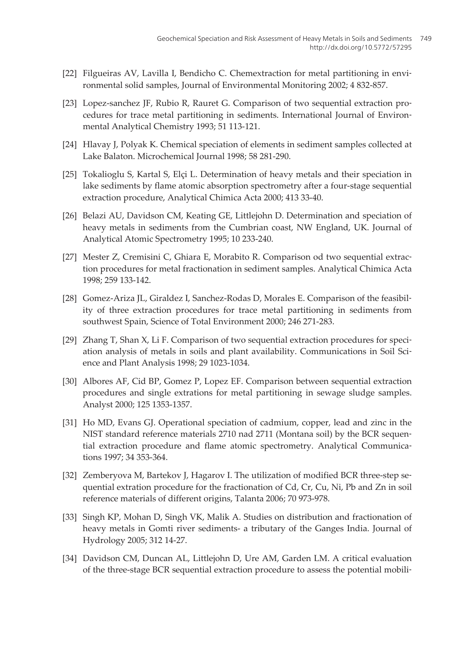- <span id="page-26-0"></span>[22] Filgueiras AV, Lavilla I, Bendicho C. Chemextraction for metal partitioning in environmental solid samples, Journal of Environmental Monitoring 2002; 4 832-857.
- [23] Lopez-sanchez JF, Rubio R, Rauret G. Comparison of two sequential extraction procedures for trace metal partitioning in sediments. International Journal of Environ‐ mental Analytical Chemistry 1993; 51 113-121.
- [24] Hlavay J, Polyak K. Chemical speciation of elements in sediment samples collected at Lake Balaton. Microchemical Journal 1998; 58 281-290.
- [25] Tokalioglu S, Kartal S, Elçi L. Determination of heavy metals and their speciation in lake sediments by flame atomic absorption spectrometry after a four-stage sequential extraction procedure, Analytical Chimica Acta 2000; 413 33-40.
- [26] Belazi AU, Davidson CM, Keating GE, Littlejohn D. Determination and speciation of heavy metals in sediments from the Cumbrian coast, NW England, UK. Journal of Analytical Atomic Spectrometry 1995; 10 233-240.
- [27] Mester Z, Cremisini C, Ghiara E, Morabito R. Comparison od two sequential extrac‐ tion procedures for metal fractionation in sediment samples. Analytical Chimica Acta 1998; 259 133-142.
- [28] Gomez-Ariza JL, Giraldez I, Sanchez-Rodas D, Morales E. Comparison of the feasibility of three extraction procedures for trace metal partitioning in sediments from southwest Spain, Science of Total Environment 2000; 246 271-283.
- [29] Zhang T, Shan X, Li F. Comparison of two sequential extraction procedures for speciation analysis of metals in soils and plant availability. Communications in Soil Science and Plant Analysis 1998; 29 1023-1034.
- [30] Albores AF, Cid BP, Gomez P, Lopez EF. Comparison between sequential extraction procedures and single extrations for metal partitioning in sewage sludge samples. Analyst 2000; 125 1353-1357.
- [31] Ho MD, Evans GJ. Operational speciation of cadmium, copper, lead and zinc in the NIST standard reference materials 2710 nad 2711 (Montana soil) by the BCR sequen‐ tial extraction procedure and flame atomic spectrometry. Analytical Communications 1997; 34 353-364.
- [32] Zemberyova M, Bartekov J, Hagarov I. The utilization of modified BCR three-step sequential extration procedure for the fractionation of Cd, Cr, Cu, Ni, Pb and Zn in soil reference materials of different origins, Talanta 2006; 70 973-978.
- [33] Singh KP, Mohan D, Singh VK, Malik A. Studies on distribution and fractionation of heavy metals in Gomti river sediments- a tributary of the Ganges India. Journal of Hydrology 2005; 312 14-27.
- [34] Davidson CM, Duncan AL, Littlejohn D, Ure AM, Garden LM. A critical evaluation of the three-stage BCR sequential extraction procedure to assess the potential mobili‐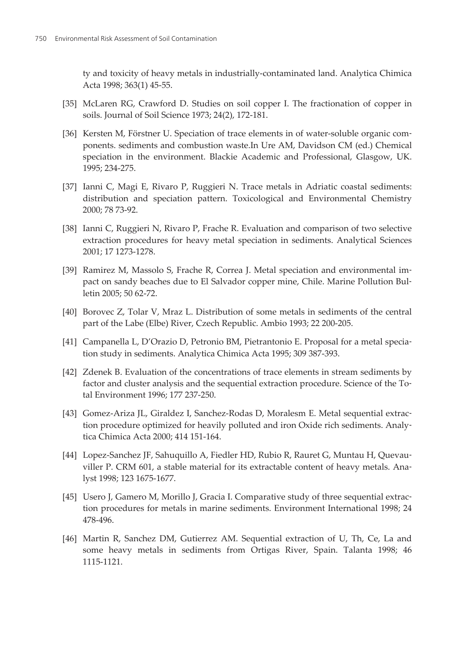<span id="page-27-0"></span>ty and toxicity of heavy metals in industrially-contaminated land. Analytica Chimica Acta 1998; 363(1) 45-55.

- [35] McLaren RG, Crawford D. Studies on soil copper I. The fractionation of copper in soils. Journal of Soil Science 1973; 24(2), 172-181.
- [36] Kersten M, Förstner U. Speciation of trace elements in of water-soluble organic components. sediments and combustion waste.In Ure AM, Davidson CM (ed.) Chemical speciation in the environment. Blackie Academic and Professional, Glasgow, UK. 1995; 234-275.
- [37] Ianni C, Magi E, Rivaro P, Ruggieri N. Trace metals in Adriatic coastal sediments: distribution and speciation pattern. Toxicological and Environmental Chemistry 2000; 78 73-92.
- [38] Ianni C, Ruggieri N, Rivaro P, Frache R. Evaluation and comparison of two selective extraction procedures for heavy metal speciation in sediments. Analytical Sciences 2001; 17 1273-1278.
- [39] Ramirez M, Massolo S, Frache R, Correa J. Metal speciation and environmental im‐ pact on sandy beaches due to El Salvador copper mine, Chile. Marine Pollution Bulletin 2005; 50 62-72.
- [40] Borovec Z, Tolar V, Mraz L. Distribution of some metals in sediments of the central part of the Labe (Elbe) River, Czech Republic. Ambio 1993; 22 200-205.
- [41] Campanella L, D'Orazio D, Petronio BM, Pietrantonio E. Proposal for a metal specia‐ tion study in sediments. Analytica Chimica Acta 1995; 309 387-393.
- [42] Zdenek B. Evaluation of the concentrations of trace elements in stream sediments by factor and cluster analysis and the sequential extraction procedure. Science of the To‐ tal Environment 1996; 177 237-250.
- [43] Gomez-Ariza JL, Giraldez I, Sanchez-Rodas D, Moralesm E. Metal sequential extrac‐ tion procedure optimized for heavily polluted and iron Oxide rich sediments. Analy‐ tica Chimica Acta 2000; 414 151-164.
- [44] Lopez-Sanchez JF, Sahuquillo A, Fiedler HD, Rubio R, Rauret G, Muntau H, Quevauviller P. CRM 601, a stable material for its extractable content of heavy metals. Analyst 1998; 123 1675-1677.
- [45] Usero J, Gamero M, Morillo J, Gracia I. Comparative study of three sequential extrac‐ tion procedures for metals in marine sediments. Environment International 1998; 24 478-496.
- [46] Martin R, Sanchez DM, Gutierrez AM. Sequential extraction of U, Th, Ce, La and some heavy metals in sediments from Ortigas River, Spain. Talanta 1998; 46 1115-1121.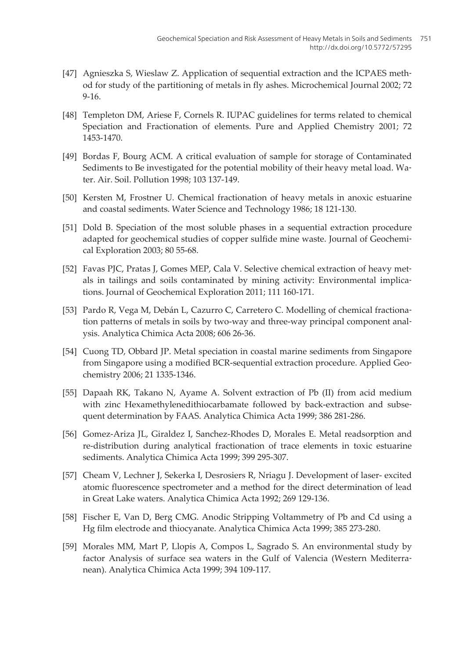- <span id="page-28-0"></span>[47] Agnieszka S, Wieslaw Z. Application of sequential extraction and the ICPAES method for study of the partitioning of metals in fly ashes. Microchemical Journal 2002; 72 9-16.
- [48] Templeton DM, Ariese F, Cornels R. IUPAC guidelines for terms related to chemical Speciation and Fractionation of elements. Pure and Applied Chemistry 2001; 72 1453-1470.
- [49] Bordas F, Bourg ACM. A critical evaluation of sample for storage of Contaminated Sediments to Be investigated for the potential mobility of their heavy metal load. Wa‐ ter. Air. Soil. Pollution 1998; 103 137-149.
- [50] Kersten M, Frostner U. Chemical fractionation of heavy metals in anoxic estuarine and coastal sediments. Water Science and Technology 1986; 18 121-130.
- [51] Dold B. Speciation of the most soluble phases in a sequential extraction procedure adapted for geochemical studies of copper sulfide mine waste. Journal of Geochemical Exploration 2003; 80 55-68.
- [52] Favas PJC, Pratas J, Gomes MEP, Cala V. Selective chemical extraction of heavy metals in tailings and soils contaminated by mining activity: Environmental implica‐ tions. Journal of Geochemical Exploration 2011; 111 160-171.
- [53] Pardo R, Vega M, Debán L, Cazurro C, Carretero C. Modelling of chemical fractionation patterns of metals in soils by two-way and three-way principal component analysis. Analytica Chimica Acta 2008; 606 26-36.
- [54] Cuong TD, Obbard JP. Metal speciation in coastal marine sediments from Singapore from Singapore using a modified BCR-sequential extraction procedure. Applied Geochemistry 2006; 21 1335-1346.
- [55] Dapaah RK, Takano N, Ayame A. Solvent extraction of Pb (II) from acid medium with zinc Hexamethylenedithiocarbamate followed by back-extraction and subsequent determination by FAAS. Analytica Chimica Acta 1999; 386 281-286.
- [56] Gomez-Ariza JL, Giraldez I, Sanchez-Rhodes D, Morales E. Metal readsorption and re-distribution during analytical fractionation of trace elements in toxic estuarine sediments. Analytica Chimica Acta 1999; 399 295-307.
- [57] Cheam V, Lechner J, Sekerka I, Desrosiers R, Nriagu J. Development of laser- excited atomic fluorescence spectrometer and a method for the direct determination of lead in Great Lake waters. Analytica Chimica Acta 1992; 269 129-136.
- [58] Fischer E, Van D, Berg CMG. Anodic Stripping Voltammetry of Pb and Cd using a Hg film electrode and thiocyanate. Analytica Chimica Acta 1999; 385 273-280.
- [59] Morales MM, Mart P, Llopis A, Compos L, Sagrado S. An environmental study by factor Analysis of surface sea waters in the Gulf of Valencia (Western Mediterra‐ nean). Analytica Chimica Acta 1999; 394 109-117.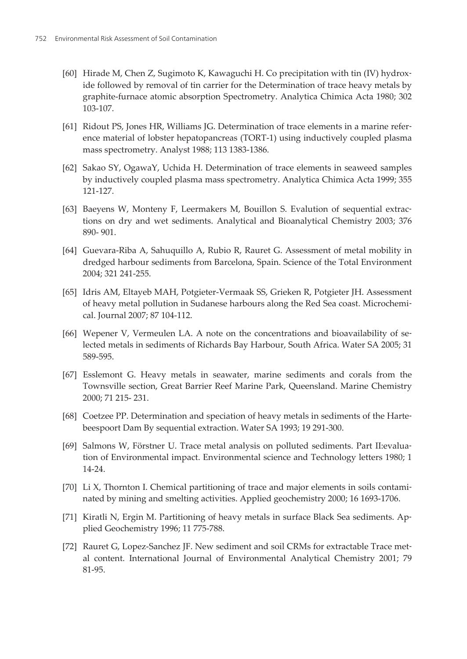- <span id="page-29-0"></span>[60] Hirade M, Chen Z, Sugimoto K, Kawaguchi H. Co precipitation with tin (IV) hydrox‐ ide followed by removal of tin carrier for the Determination of trace heavy metals by graphite-furnace atomic absorption Spectrometry. Analytica Chimica Acta 1980; 302 103-107.
- [61] Ridout PS, Jones HR, Williams JG. Determination of trace elements in a marine refer‐ ence material of lobster hepatopancreas (TORT-1) using inductively coupled plasma mass spectrometry. Analyst 1988; 113 1383-1386.
- [62] Sakao SY, OgawaY, Uchida H. Determination of trace elements in seaweed samples by inductively coupled plasma mass spectrometry. Analytica Chimica Acta 1999; 355 121-127.
- [63] Baeyens W, Monteny F, Leermakers M, Bouillon S. Evalution of sequential extractions on dry and wet sediments. Analytical and Bioanalytical Chemistry 2003; 376 890- 901.
- [64] Guevara-Riba A, Sahuquillo A, Rubio R, Rauret G. Assessment of metal mobility in dredged harbour sediments from Barcelona, Spain. Science of the Total Environment 2004; 321 241-255.
- [65] Idris AM, Eltayeb MAH, Potgieter-Vermaak SS, Grieken R, Potgieter JH. Assessment of heavy metal pollution in Sudanese harbours along the Red Sea coast. Microchemi‐ cal. Journal 2007; 87 104-112.
- [66] Wepener V, Vermeulen LA. A note on the concentrations and bioavailability of selected metals in sediments of Richards Bay Harbour, South Africa. Water SA 2005; 31 589-595.
- [67] Esslemont G. Heavy metals in seawater, marine sediments and corals from the Townsville section, Great Barrier Reef Marine Park, Queensland. Marine Chemistry 2000; 71 215- 231.
- [68] Coetzee PP. Determination and speciation of heavy metals in sediments of the Harte‐ beespoort Dam By sequential extraction. Water SA 1993; 19 291-300.
- [69] Salmons W, Förstner U. Trace metal analysis on polluted sediments. Part II:evalua‐ tion of Environmental impact. Environmental science and Technology letters 1980; 1 14-24.
- [70] Li X, Thornton I. Chemical partitioning of trace and major elements in soils contaminated by mining and smelting activities. Applied geochemistry 2000; 16 1693-1706.
- [71] Kiratli N, Ergin M. Partitioning of heavy metals in surface Black Sea sediments. Applied Geochemistry 1996; 11 775-788.
- [72] Rauret G, Lopez-Sanchez JF. New sediment and soil CRMs for extractable Trace metal content. International Journal of Environmental Analytical Chemistry 2001; 79 81-95.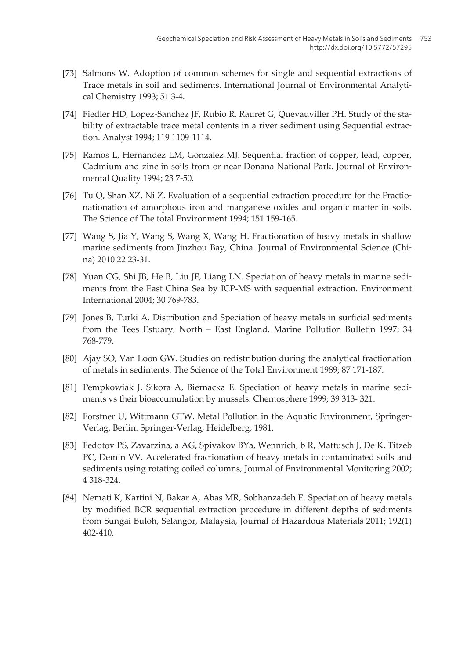- <span id="page-30-0"></span>[73] Salmons W. Adoption of common schemes for single and sequential extractions of Trace metals in soil and sediments. International Journal of Environmental Analytical Chemistry 1993; 51 3-4.
- [74] Fiedler HD, Lopez-Sanchez JF, Rubio R, Rauret G, Quevauviller PH. Study of the stability of extractable trace metal contents in a river sediment using Sequential extraction. Analyst 1994; 119 1109-1114.
- [75] Ramos L, Hernandez LM, Gonzalez MJ. Sequential fraction of copper, lead, copper, Cadmium and zinc in soils from or near Donana National Park. Journal of Environ‐ mental Quality 1994; 23 7-50.
- [76] Tu Q, Shan XZ, Ni Z. Evaluation of a sequential extraction procedure for the Fractionationation of amorphous iron and manganese oxides and organic matter in soils. The Science of The total Environment 1994; 151 159-165.
- [77] Wang S, Jia Y, Wang S, Wang X, Wang H. Fractionation of heavy metals in shallow marine sediments from Jinzhou Bay, China. Journal of Environmental Science (China) 2010 22 23-31.
- [78] Yuan CG, Shi JB, He B, Liu JF, Liang LN. Speciation of heavy metals in marine sediments from the East China Sea by ICP-MS with sequential extraction. Environment International 2004; 30 769-783.
- [79] Jones B, Turki A. Distribution and Speciation of heavy metals in surficial sediments from the Tees Estuary, North – East England. Marine Pollution Bulletin 1997; 34 768-779.
- [80] Ajay SO, Van Loon GW. Studies on redistribution during the analytical fractionation of metals in sediments. The Science of the Total Environment 1989; 87 171-187.
- [81] Pempkowiak J, Sikora A, Biernacka E. Speciation of heavy metals in marine sediments vs their bioaccumulation by mussels. Chemosphere 1999; 39 313- 321.
- [82] Forstner U, Wittmann GTW. Metal Pollution in the Aquatic Environment, Springer-Verlag, Berlin. Springer-Verlag, Heidelberg; 1981.
- [83] Fedotov PS, Zavarzina, a AG, Spivakov BYa, Wennrich, b R, Mattusch J, De K, Titzeb PC, Demin VV. Accelerated fractionation of heavy metals in contaminated soils and sediments using rotating coiled columns, Journal of Environmental Monitoring 2002; 4 318-324.
- [84] Nemati K, Kartini N, Bakar A, Abas MR, Sobhanzadeh E. Speciation of heavy metals by modified BCR sequential extraction procedure in different depths of sediments from Sungai Buloh, Selangor, Malaysia, Journal of Hazardous Materials 2011; 192(1) 402-410.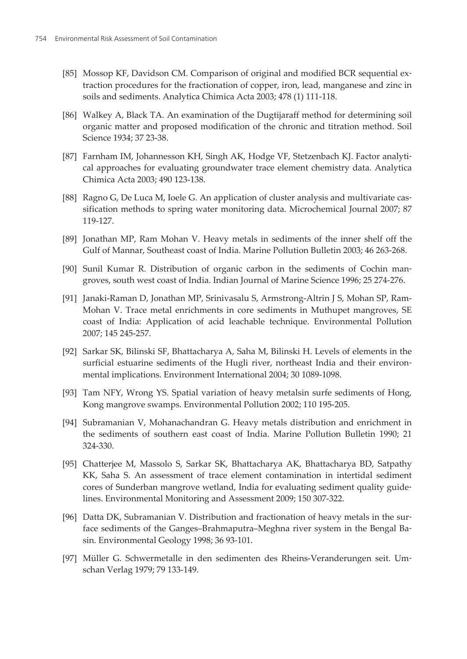- <span id="page-31-0"></span>[85] Mossop KF, Davidson CM. Comparison of original and modified BCR sequential extraction procedures for the fractionation of copper, iron, lead, manganese and zinc in soils and sediments. Analytica Chimica Acta 2003; 478 (1) 111-118.
- [86] Walkey A, Black TA. An examination of the Dugtijaraff method for determining soil organic matter and proposed modification of the chronic and titration method. Soil Science 1934; 37 23-38.
- [87] Farnham IM, Johannesson KH, Singh AK, Hodge VF, Stetzenbach KJ. Factor analyti‐ cal approaches for evaluating groundwater trace element chemistry data. Analytica Chimica Acta 2003; 490 123-138.
- [88] Ragno G, De Luca M, Ioele G. An application of cluster analysis and multivariate cassification methods to spring water monitoring data. Microchemical Journal 2007; 87 119-127.
- [89] Jonathan MP, Ram Mohan V. Heavy metals in sediments of the inner shelf off the Gulf of Mannar, Southeast coast of India. Marine Pollution Bulletin 2003; 46 263-268.
- [90] Sunil Kumar R. Distribution of organic carbon in the sediments of Cochin mangroves, south west coast of India. Indian Journal of Marine Science 1996; 25 274-276.
- [91] Janaki-Raman D, Jonathan MP, Srinivasalu S, Armstrong-Altrin J S, Mohan SP, Ram-Mohan V. Trace metal enrichments in core sediments in Muthupet mangroves, SE coast of India: Application of acid leachable technique. Environmental Pollution 2007; 145 245-257.
- [92] Sarkar SK, Bilinski SF, Bhattacharya A, Saha M, Bilinski H. Levels of elements in the surficial estuarine sediments of the Hugli river, northeast India and their environmental implications. Environment International 2004; 30 1089-1098.
- [93] Tam NFY, Wrong YS. Spatial variation of heavy metalsin surfe sediments of Hong, Kong mangrove swamps. Environmental Pollution 2002; 110 195-205.
- [94] Subramanian V, Mohanachandran G. Heavy metals distribution and enrichment in the sediments of southern east coast of India. Marine Pollution Bulletin 1990; 21 324-330.
- [95] Chatterjee M, Massolo S, Sarkar SK, Bhattacharya AK, Bhattacharya BD, Satpathy KK, Saha S. An assessment of trace element contamination in intertidal sediment cores of Sunderban mangrove wetland, India for evaluating sediment quality guide‐ lines. Environmental Monitoring and Assessment 2009; 150 307-322.
- [96] Datta DK, Subramanian V. Distribution and fractionation of heavy metals in the surface sediments of the Ganges–Brahmaputra–Meghna river system in the Bengal Basin. Environmental Geology 1998; 36 93-101.
- [97] Müller G. Schwermetalle in den sedimenten des Rheins-Veranderungen seit. Um‐ schan Verlag 1979; 79 133-149.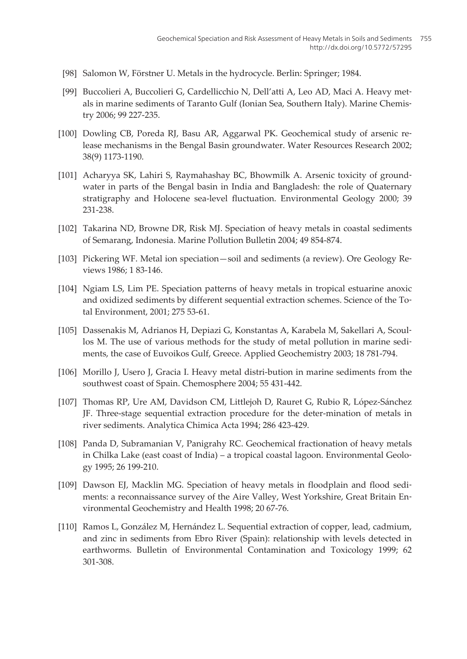- <span id="page-32-0"></span>[98] Salomon W, Förstner U. Metals in the hydrocycle. Berlin: Springer; 1984.
- [99] Buccolieri A, Buccolieri G, Cardellicchio N, Dell'atti A, Leo AD, Maci A. Heavy metals in marine sediments of Taranto Gulf (Ionian Sea, Southern Italy). Marine Chemis‐ try 2006; 99 227-235.
- [100] Dowling CB, Poreda RJ, Basu AR, Aggarwal PK. Geochemical study of arsenic release mechanisms in the Bengal Basin groundwater. Water Resources Research 2002; 38(9) 1173-1190.
- [101] Acharyya SK, Lahiri S, Raymahashay BC, Bhowmilk A. Arsenic toxicity of ground‐ water in parts of the Bengal basin in India and Bangladesh: the role of Quaternary stratigraphy and Holocene sea-level fluctuation. Environmental Geology 2000; 39 231-238.
- [102] Takarina ND, Browne DR, Risk MJ. Speciation of heavy metals in coastal sediments of Semarang, Indonesia. Marine Pollution Bulletin 2004; 49 854-874.
- [103] Pickering WF. Metal ion speciation—soil and sediments (a review). Ore Geology Reviews 1986; 1 83-146.
- [104] Ngiam LS, Lim PE. Speciation patterns of heavy metals in tropical estuarine anoxic and oxidized sediments by different sequential extraction schemes. Science of the To‐ tal Environment, 2001; 275 53-61.
- [105] Dassenakis M, Adrianos H, Depiazi G, Konstantas A, Karabela M, Sakellari A, Scoul‐ los M. The use of various methods for the study of metal pollution in marine sediments, the case of Euvoikos Gulf, Greece. Applied Geochemistry 2003; 18 781-794.
- [106] Morillo J, Usero J, Gracia I. Heavy metal distri-bution in marine sediments from the southwest coast of Spain. Chemosphere 2004; 55 431-442.
- [107] Thomas RP, Ure AM, Davidson CM, Littlejoh D, Rauret G, Rubio R, López-Sánchez JF. Three-stage sequential extraction procedure for the deter-mination of metals in river sediments. Analytica Chimica Acta 1994; 286 423-429.
- [108] Panda D, Subramanian V, Panigrahy RC. Geochemical fractionation of heavy metals in Chilka Lake (east coast of India) – a tropical coastal lagoon. Environmental Geology 1995; 26 199-210.
- [109] Dawson EJ, Macklin MG. Speciation of heavy metals in floodplain and flood sedi‐ ments: a reconnaissance survey of the Aire Valley, West Yorkshire, Great Britain En‐ vironmental Geochemistry and Health 1998; 20 67-76.
- [110] Ramos L, González M, Hernández L. Sequential extraction of copper, lead, cadmium, and zinc in sediments from Ebro River (Spain): relationship with levels detected in earthworms. Bulletin of Environmental Contamination and Toxicology 1999; 62 301-308.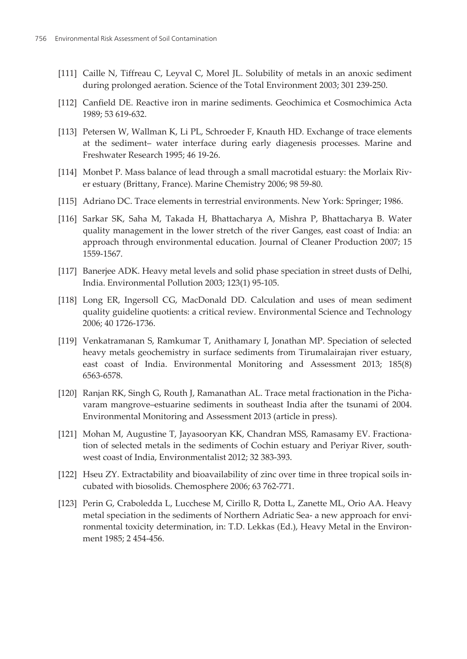- <span id="page-33-0"></span>[111] Caille N, Tiffreau C, Leyval C, Morel JL. Solubility of metals in an anoxic sediment during prolonged aeration. Science of the Total Environment 2003; 301 239-250.
- [112] Canfield DE. Reactive iron in marine sediments. Geochimica et Cosmochimica Acta 1989; 53 619-632.
- [113] Petersen W, Wallman K, Li PL, Schroeder F, Knauth HD. Exchange of trace elements at the sediment– water interface during early diagenesis processes. Marine and Freshwater Research 1995; 46 19-26.
- [114] Monbet P. Mass balance of lead through a small macrotidal estuary: the Morlaix Riv‐ er estuary (Brittany, France). Marine Chemistry 2006; 98 59-80.
- [115] Adriano DC. Trace elements in terrestrial environments. New York: Springer; 1986.
- [116] Sarkar SK, Saha M, Takada H, Bhattacharya A, Mishra P, Bhattacharya B. Water quality management in the lower stretch of the river Ganges, east coast of India: an approach through environmental education. Journal of Cleaner Production 2007; 15 1559-1567.
- [117] Banerjee ADK. Heavy metal levels and solid phase speciation in street dusts of Delhi, India. Environmental Pollution 2003; 123(1) 95-105.
- [118] Long ER, Ingersoll CG, MacDonald DD. Calculation and uses of mean sediment quality guideline quotients: a critical review. Environmental Science and Technology 2006; 40 1726-1736.
- [119] Venkatramanan S, Ramkumar T, Anithamary I, Jonathan MP. Speciation of selected heavy metals geochemistry in surface sediments from Tirumalairajan river estuary, east coast of India. Environmental Monitoring and Assessment 2013; 185(8) 6563-6578.
- [120] Ranjan RK, Singh G, Routh J, Ramanathan AL. Trace metal fractionation in the Pichavaram mangrove–estuarine sediments in southeast India after the tsunami of 2004. Environmental Monitoring and Assessment 2013 (article in press).
- [121] Mohan M, Augustine T, Jayasooryan KK, Chandran MSS, Ramasamy EV. Fractiona‐ tion of selected metals in the sediments of Cochin estuary and Periyar River, south‐ west coast of India, Environmentalist 2012; 32 383-393.
- [122] Hseu ZY. Extractability and bioavailability of zinc over time in three tropical soils incubated with biosolids. Chemosphere 2006; 63 762-771.
- [123] Perin G, Craboledda L, Lucchese M, Cirillo R, Dotta L, Zanette ML, Orio AA. Heavy metal speciation in the sediments of Northern Adriatic Sea- a new approach for environmental toxicity determination, in: T.D. Lekkas (Ed.), Heavy Metal in the Environ‐ ment 1985; 2 454-456.